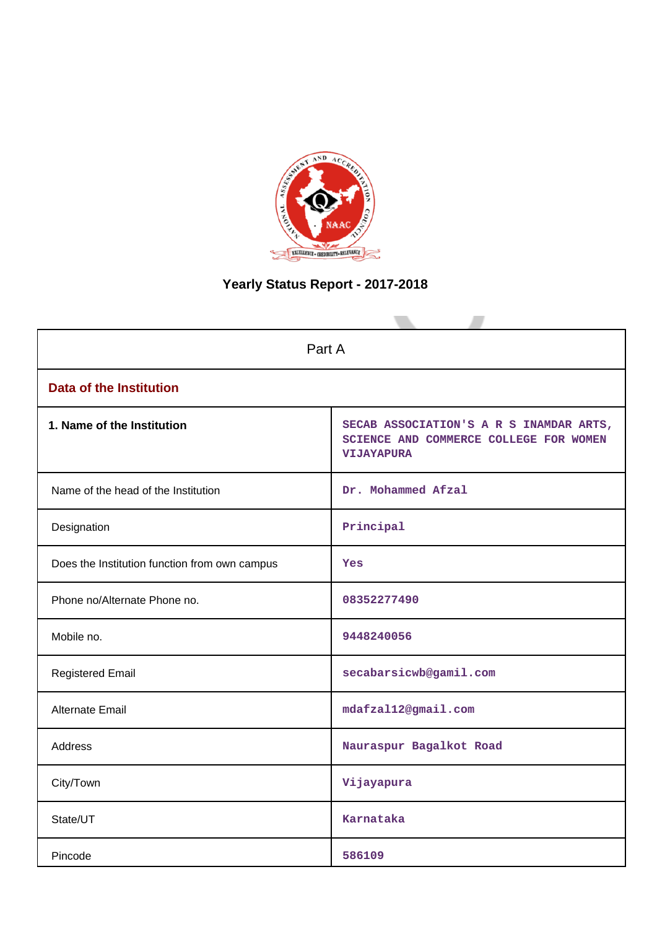

# **Yearly Status Report - 2017-2018**

| Part A                                        |                                                                                                        |
|-----------------------------------------------|--------------------------------------------------------------------------------------------------------|
| <b>Data of the Institution</b>                |                                                                                                        |
| 1. Name of the Institution                    | SECAB ASSOCIATION'S A R S INAMDAR ARTS,<br>SCIENCE AND COMMERCE COLLEGE FOR WOMEN<br><b>VIJAYAPURA</b> |
| Name of the head of the Institution           | Dr. Mohammed Afzal                                                                                     |
| Designation                                   | Principal                                                                                              |
| Does the Institution function from own campus | Yes                                                                                                    |
| Phone no/Alternate Phone no.                  | 08352277490                                                                                            |
| Mobile no.                                    | 9448240056                                                                                             |
| <b>Registered Email</b>                       | secabarsicwb@gamil.com                                                                                 |
| Alternate Email                               | mdafzal12@gmail.com                                                                                    |
| <b>Address</b>                                | Nauraspur Bagalkot Road                                                                                |
| City/Town                                     | Vijayapura                                                                                             |
| State/UT                                      | Karnataka                                                                                              |
| Pincode                                       | 586109                                                                                                 |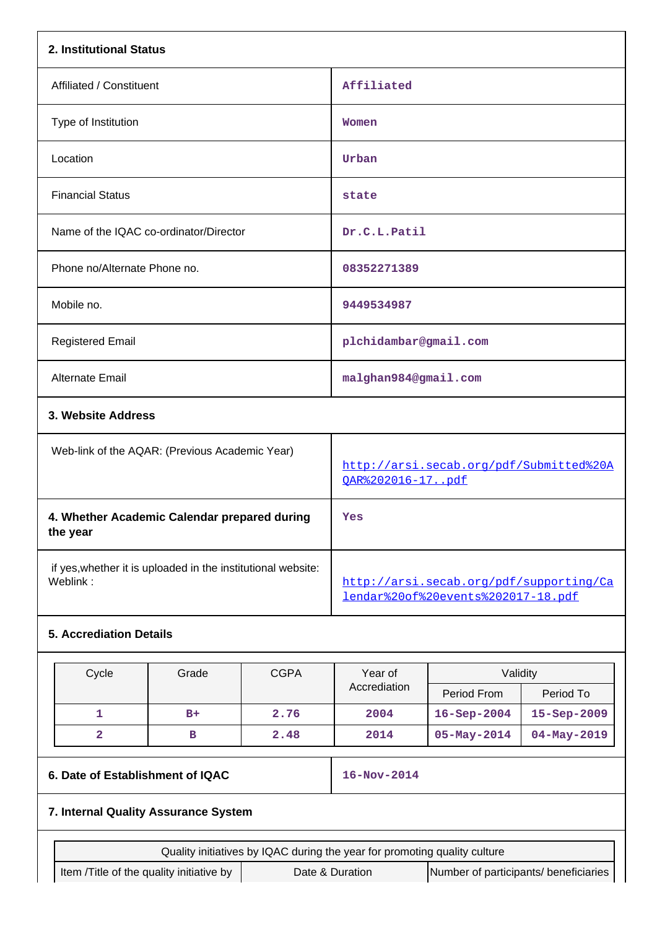| 2. Institutional Status                                                  |                                                |             |                                                                               |                                       |                   |  |  |
|--------------------------------------------------------------------------|------------------------------------------------|-------------|-------------------------------------------------------------------------------|---------------------------------------|-------------------|--|--|
| Affiliated / Constituent                                                 |                                                |             | Affiliated                                                                    |                                       |                   |  |  |
| Type of Institution                                                      |                                                |             | Women                                                                         |                                       |                   |  |  |
| Location                                                                 |                                                |             | Urban                                                                         |                                       |                   |  |  |
| <b>Financial Status</b>                                                  |                                                |             | state                                                                         |                                       |                   |  |  |
| Name of the IQAC co-ordinator/Director                                   |                                                |             | Dr.C.L.Patil                                                                  |                                       |                   |  |  |
| Phone no/Alternate Phone no.                                             |                                                |             | 08352271389                                                                   |                                       |                   |  |  |
| Mobile no.                                                               |                                                |             | 9449534987                                                                    |                                       |                   |  |  |
| <b>Registered Email</b>                                                  |                                                |             | plchidambar@gmail.com                                                         |                                       |                   |  |  |
| Alternate Email                                                          |                                                |             | malghan984@gmail.com                                                          |                                       |                   |  |  |
| 3. Website Address                                                       |                                                |             |                                                                               |                                       |                   |  |  |
|                                                                          | Web-link of the AQAR: (Previous Academic Year) |             | http://arsi.secab.org/pdf/Submitted%20A<br><u>OAR%202016-17pdf</u>            |                                       |                   |  |  |
| 4. Whether Academic Calendar prepared during<br>the year                 |                                                |             | Yes                                                                           |                                       |                   |  |  |
| if yes, whether it is uploaded in the institutional website:<br>Weblink: |                                                |             | http://arsi.secab.org/pdf/supporting/Ca<br>lendar%20of%20events%202017-18.pdf |                                       |                   |  |  |
| <b>5. Accrediation Details</b>                                           |                                                |             |                                                                               |                                       |                   |  |  |
| Cycle                                                                    | Grade                                          | <b>CGPA</b> | Year of                                                                       | Validity                              |                   |  |  |
|                                                                          |                                                |             | Accrediation                                                                  | Period From                           | Period To         |  |  |
| 1                                                                        | $B+$                                           | 2.76        | 2004                                                                          | $16 - Sep - 2004$                     | 15-Sep-2009       |  |  |
| 2                                                                        | в                                              | 2.48        | 2014                                                                          | $05 - May - 2014$                     | $04 - May - 2019$ |  |  |
| 6. Date of Establishment of IQAC                                         |                                                |             | 16-Nov-2014                                                                   |                                       |                   |  |  |
| 7. Internal Quality Assurance System                                     |                                                |             |                                                                               |                                       |                   |  |  |
|                                                                          |                                                |             | Quality initiatives by IQAC during the year for promoting quality culture     |                                       |                   |  |  |
| Item /Title of the quality initiative by                                 |                                                |             | Date & Duration                                                               | Number of participants/ beneficiaries |                   |  |  |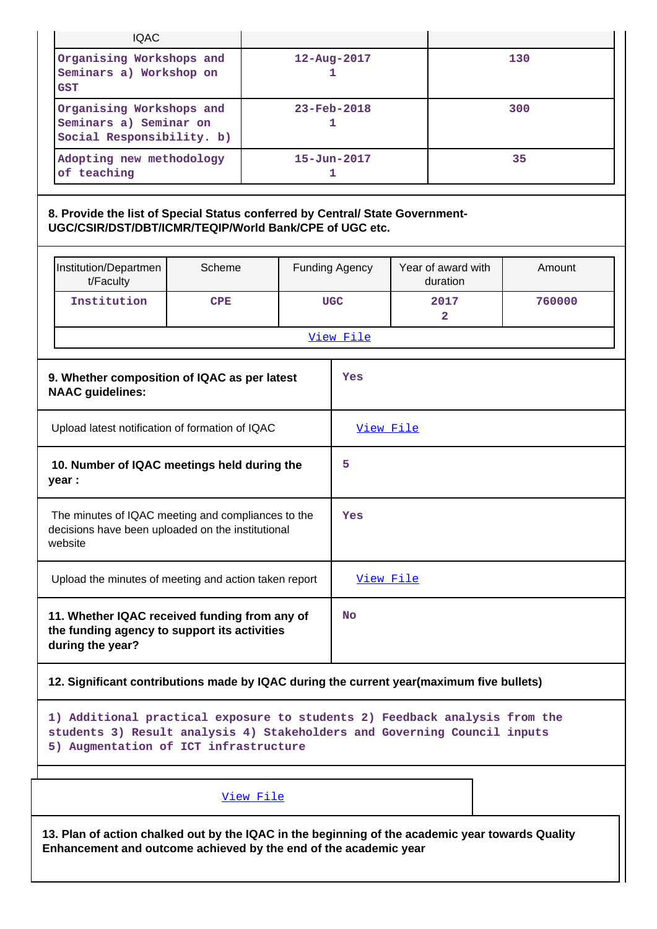| <b>IQAC</b>                                                                                                                                                                                     |        |                               |                        |  |                                |        |  |
|-------------------------------------------------------------------------------------------------------------------------------------------------------------------------------------------------|--------|-------------------------------|------------------------|--|--------------------------------|--------|--|
| Organising Workshops and<br>Seminars a) Workshop on<br><b>GST</b>                                                                                                                               |        |                               | 12-Aug-2017<br>1       |  | 130                            |        |  |
| Organising Workshops and<br>Seminars a) Seminar on<br>Social Responsibility. b)                                                                                                                 |        | $23 - \text{Feb} - 2018$<br>1 |                        |  | 300                            |        |  |
| Adopting new methodology<br>of teaching                                                                                                                                                         |        |                               | $15 - Jun - 2017$<br>1 |  |                                | 35     |  |
| 8. Provide the list of Special Status conferred by Central/ State Government-<br>UGC/CSIR/DST/DBT/ICMR/TEQIP/World Bank/CPE of UGC etc.                                                         |        |                               |                        |  |                                |        |  |
| Institution/Departmen<br>t/Faculty                                                                                                                                                              | Scheme |                               | <b>Funding Agency</b>  |  | Year of award with<br>duration | Amount |  |
| Institution<br><b>CPE</b>                                                                                                                                                                       |        |                               | <b>UGC</b>             |  | 2017<br>$\mathbf{2}$           | 760000 |  |
|                                                                                                                                                                                                 |        |                               | View File              |  |                                |        |  |
| 9. Whether composition of IQAC as per latest<br><b>NAAC</b> guidelines:                                                                                                                         |        |                               | Yes                    |  |                                |        |  |
| Upload latest notification of formation of IQAC                                                                                                                                                 |        |                               | View File              |  |                                |        |  |
| 10. Number of IQAC meetings held during the<br>year :                                                                                                                                           |        |                               | 5                      |  |                                |        |  |
| The minutes of IQAC meeting and compliances to the<br>decisions have been uploaded on the institutional<br>website                                                                              |        |                               | Yes                    |  |                                |        |  |
| Upload the minutes of meeting and action taken report                                                                                                                                           |        |                               | View File              |  |                                |        |  |
| 11. Whether IQAC received funding from any of<br>the funding agency to support its activities<br>during the year?                                                                               |        |                               | <b>No</b>              |  |                                |        |  |
| 12. Significant contributions made by IQAC during the current year(maximum five bullets)                                                                                                        |        |                               |                        |  |                                |        |  |
| 1) Additional practical exposure to students 2) Feedback analysis from the<br>students 3) Result analysis 4) Stakeholders and Governing Council inputs<br>5) Augmentation of ICT infrastructure |        |                               |                        |  |                                |        |  |
|                                                                                                                                                                                                 |        | View File                     |                        |  |                                |        |  |

**13. Plan of action chalked out by the IQAC in the beginning of the academic year towards Quality Enhancement and outcome achieved by the end of the academic year**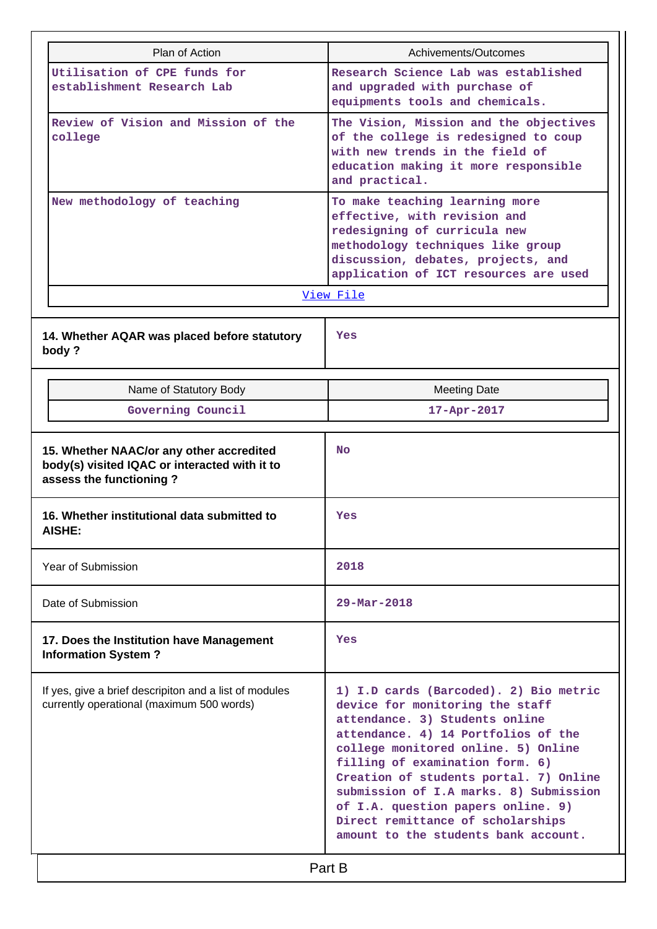| Plan of Action                                                                                                       | Achivements/Outcomes                                                                                                                                                                                                                                                                                                                                                                                                                |  |  |  |  |
|----------------------------------------------------------------------------------------------------------------------|-------------------------------------------------------------------------------------------------------------------------------------------------------------------------------------------------------------------------------------------------------------------------------------------------------------------------------------------------------------------------------------------------------------------------------------|--|--|--|--|
| Utilisation of CPE funds for<br>establishment Research Lab                                                           | Research Science Lab was established<br>and upgraded with purchase of<br>equipments tools and chemicals.                                                                                                                                                                                                                                                                                                                            |  |  |  |  |
| Review of Vision and Mission of the<br>college                                                                       | The Vision, Mission and the objectives<br>of the college is redesigned to coup<br>with new trends in the field of<br>education making it more responsible<br>and practical.                                                                                                                                                                                                                                                         |  |  |  |  |
| New methodology of teaching                                                                                          | To make teaching learning more<br>effective, with revision and<br>redesigning of curricula new<br>methodology techniques like group<br>discussion, debates, projects, and<br>application of ICT resources are used                                                                                                                                                                                                                  |  |  |  |  |
|                                                                                                                      | View File                                                                                                                                                                                                                                                                                                                                                                                                                           |  |  |  |  |
| 14. Whether AQAR was placed before statutory<br>body?                                                                | Yes                                                                                                                                                                                                                                                                                                                                                                                                                                 |  |  |  |  |
| Name of Statutory Body                                                                                               | <b>Meeting Date</b>                                                                                                                                                                                                                                                                                                                                                                                                                 |  |  |  |  |
| Governing Council                                                                                                    | 17-Apr-2017                                                                                                                                                                                                                                                                                                                                                                                                                         |  |  |  |  |
| 15. Whether NAAC/or any other accredited<br>body(s) visited IQAC or interacted with it to<br>assess the functioning? | <b>No</b>                                                                                                                                                                                                                                                                                                                                                                                                                           |  |  |  |  |
| 16. Whether institutional data submitted to<br><b>AISHE:</b>                                                         | Yes                                                                                                                                                                                                                                                                                                                                                                                                                                 |  |  |  |  |
| Year of Submission                                                                                                   | 2018                                                                                                                                                                                                                                                                                                                                                                                                                                |  |  |  |  |
| Date of Submission                                                                                                   | $29 - \text{Mar} - 2018$                                                                                                                                                                                                                                                                                                                                                                                                            |  |  |  |  |
| 17. Does the Institution have Management<br><b>Information System?</b>                                               | Yes                                                                                                                                                                                                                                                                                                                                                                                                                                 |  |  |  |  |
| If yes, give a brief descripiton and a list of modules                                                               |                                                                                                                                                                                                                                                                                                                                                                                                                                     |  |  |  |  |
| currently operational (maximum 500 words)                                                                            | 1) I.D cards (Barcoded). 2) Bio metric<br>device for monitoring the staff<br>attendance. 3) Students online<br>attendance. 4) 14 Portfolios of the<br>college monitored online. 5) Online<br>filling of examination form. 6)<br>Creation of students portal. 7) Online<br>submission of I.A marks. 8) Submission<br>of I.A. question papers online. 9)<br>Direct remittance of scholarships<br>amount to the students bank account. |  |  |  |  |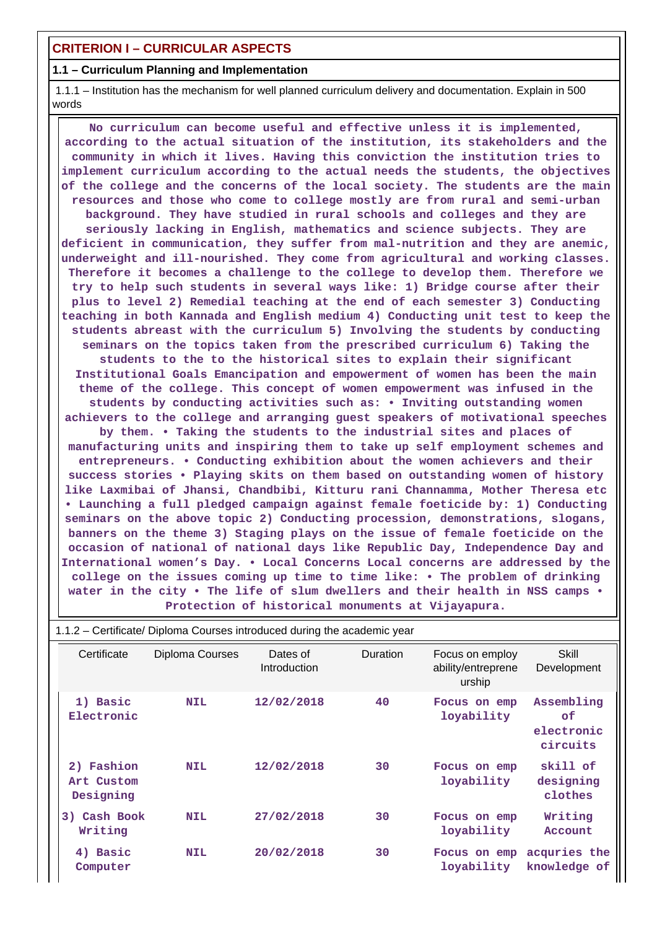# **CRITERION I – CURRICULAR ASPECTS**

# **1.1 – Curriculum Planning and Implementation**

 1.1.1 – Institution has the mechanism for well planned curriculum delivery and documentation. Explain in 500 words

 **No curriculum can become useful and effective unless it is implemented, according to the actual situation of the institution, its stakeholders and the community in which it lives. Having this conviction the institution tries to implement curriculum according to the actual needs the students, the objectives of the college and the concerns of the local society. The students are the main resources and those who come to college mostly are from rural and semi-urban background. They have studied in rural schools and colleges and they are seriously lacking in English, mathematics and science subjects. They are deficient in communication, they suffer from mal-nutrition and they are anemic, underweight and ill-nourished. They come from agricultural and working classes. Therefore it becomes a challenge to the college to develop them. Therefore we try to help such students in several ways like: 1) Bridge course after their plus to level 2) Remedial teaching at the end of each semester 3) Conducting teaching in both Kannada and English medium 4) Conducting unit test to keep the students abreast with the curriculum 5) Involving the students by conducting seminars on the topics taken from the prescribed curriculum 6) Taking the students to the to the historical sites to explain their significant Institutional Goals Emancipation and empowerment of women has been the main theme of the college. This concept of women empowerment was infused in the students by conducting activities such as: • Inviting outstanding women achievers to the college and arranging guest speakers of motivational speeches by them. • Taking the students to the industrial sites and places of manufacturing units and inspiring them to take up self employment schemes and entrepreneurs. • Conducting exhibition about the women achievers and their success stories • Playing skits on them based on outstanding women of history like Laxmibai of Jhansi, Chandbibi, Kitturu rani Channamma, Mother Theresa etc • Launching a full pledged campaign against female foeticide by: 1) Conducting seminars on the above topic 2) Conducting procession, demonstrations, slogans, banners on the theme 3) Staging plays on the issue of female foeticide on the occasion of national of national days like Republic Day, Independence Day and International women's Day. • Local Concerns Local concerns are addressed by the college on the issues coming up time to time like: • The problem of drinking water in the city • The life of slum dwellers and their health in NSS camps • Protection of historical monuments at Vijayapura.**

| Certificate                           | Diploma Courses | Dates of<br>Introduction | Duration | Focus on employ<br>ability/entreprene<br>urship | Skill<br>Development                       |
|---------------------------------------|-----------------|--------------------------|----------|-------------------------------------------------|--------------------------------------------|
| 1) Basic<br>Electronic                | <b>NIL</b>      | 12/02/2018               | 40       | Focus on emp<br>loyability                      | Assembling<br>0f<br>electronic<br>circuits |
| 2) Fashion<br>Art Custom<br>Designing | <b>NIL</b>      | 12/02/2018               | 30       | Focus on emp<br>loyability                      | skill of<br>designing<br>clothes           |
| Cash Book<br>3)<br>Writing            | <b>NIL</b>      | 27/02/2018               | 30       | Focus on emp<br>loyability                      | Writing<br>Account                         |
| 4) Basic<br>Computer                  | <b>NIL</b>      | 20/02/2018               | 30       | Focus on emp<br>loyability                      | acquries the<br>knowledge of               |

1.1.2 – Certificate/ Diploma Courses introduced during the academic year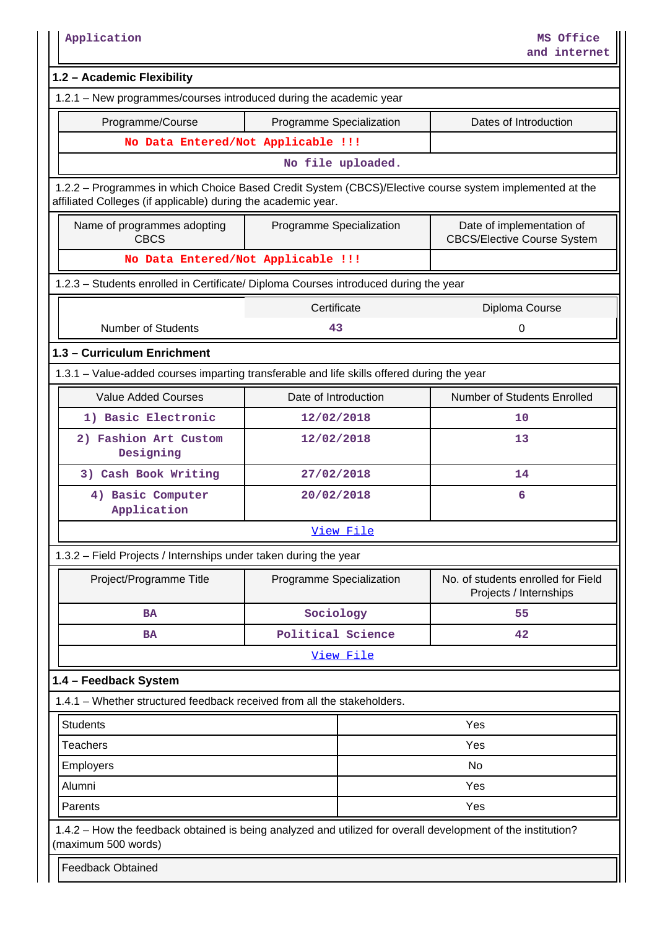| Application                                                                                                                                                              |                          |           | MS Office<br>and internet                                       |  |  |  |  |
|--------------------------------------------------------------------------------------------------------------------------------------------------------------------------|--------------------------|-----------|-----------------------------------------------------------------|--|--|--|--|
| 1.2 - Academic Flexibility                                                                                                                                               |                          |           |                                                                 |  |  |  |  |
| 1.2.1 - New programmes/courses introduced during the academic year                                                                                                       |                          |           |                                                                 |  |  |  |  |
| Programme/Course                                                                                                                                                         | Programme Specialization |           | Dates of Introduction                                           |  |  |  |  |
| No Data Entered/Not Applicable !!!                                                                                                                                       |                          |           |                                                                 |  |  |  |  |
|                                                                                                                                                                          | No file uploaded.        |           |                                                                 |  |  |  |  |
| 1.2.2 - Programmes in which Choice Based Credit System (CBCS)/Elective course system implemented at the<br>affiliated Colleges (if applicable) during the academic year. |                          |           |                                                                 |  |  |  |  |
| Name of programmes adopting<br><b>CBCS</b>                                                                                                                               | Programme Specialization |           | Date of implementation of<br><b>CBCS/Elective Course System</b> |  |  |  |  |
| No Data Entered/Not Applicable !!!                                                                                                                                       |                          |           |                                                                 |  |  |  |  |
| 1.2.3 - Students enrolled in Certificate/ Diploma Courses introduced during the year                                                                                     |                          |           |                                                                 |  |  |  |  |
|                                                                                                                                                                          | Certificate              |           | Diploma Course                                                  |  |  |  |  |
| <b>Number of Students</b>                                                                                                                                                | 43                       |           | 0                                                               |  |  |  |  |
| 1.3 - Curriculum Enrichment                                                                                                                                              |                          |           |                                                                 |  |  |  |  |
| 1.3.1 - Value-added courses imparting transferable and life skills offered during the year                                                                               |                          |           |                                                                 |  |  |  |  |
| <b>Value Added Courses</b>                                                                                                                                               | Date of Introduction     |           | Number of Students Enrolled                                     |  |  |  |  |
| 1) Basic Electronic                                                                                                                                                      | 12/02/2018               |           | 10                                                              |  |  |  |  |
| 2) Fashion Art Custom<br>Designing                                                                                                                                       | 12/02/2018               |           | 13                                                              |  |  |  |  |
| 3) Cash Book Writing                                                                                                                                                     | 27/02/2018               |           | 14                                                              |  |  |  |  |
| 4) Basic Computer<br>Application                                                                                                                                         | 20/02/2018               |           | 6                                                               |  |  |  |  |
|                                                                                                                                                                          |                          | View File |                                                                 |  |  |  |  |
| 1.3.2 - Field Projects / Internships under taken during the year                                                                                                         |                          |           |                                                                 |  |  |  |  |
| Project/Programme Title                                                                                                                                                  | Programme Specialization |           | No. of students enrolled for Field<br>Projects / Internships    |  |  |  |  |
| <b>BA</b>                                                                                                                                                                | Sociology                |           | 55                                                              |  |  |  |  |
| <b>BA</b>                                                                                                                                                                | Political Science        |           | 42                                                              |  |  |  |  |
|                                                                                                                                                                          |                          | View File |                                                                 |  |  |  |  |
| 1.4 - Feedback System                                                                                                                                                    |                          |           |                                                                 |  |  |  |  |
| 1.4.1 - Whether structured feedback received from all the stakeholders.                                                                                                  |                          |           |                                                                 |  |  |  |  |
| <b>Students</b>                                                                                                                                                          |                          |           | Yes                                                             |  |  |  |  |
| <b>Teachers</b>                                                                                                                                                          |                          |           | Yes                                                             |  |  |  |  |
| No<br><b>Employers</b>                                                                                                                                                   |                          |           |                                                                 |  |  |  |  |
| Alumni                                                                                                                                                                   |                          |           | Yes                                                             |  |  |  |  |
| Parents                                                                                                                                                                  |                          |           | Yes                                                             |  |  |  |  |
| 1.4.2 – How the feedback obtained is being analyzed and utilized for overall development of the institution?<br>(maximum 500 words)                                      |                          |           |                                                                 |  |  |  |  |
| <b>Feedback Obtained</b>                                                                                                                                                 |                          |           |                                                                 |  |  |  |  |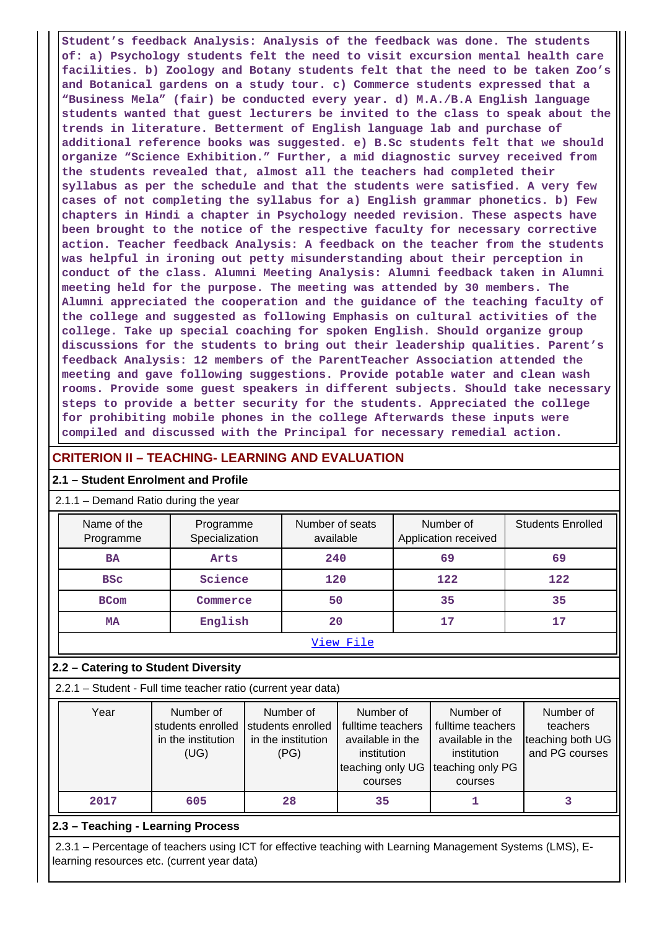**Student's feedback Analysis: Analysis of the feedback was done. The students of: a) Psychology students felt the need to visit excursion mental health care facilities. b) Zoology and Botany students felt that the need to be taken Zoo's and Botanical gardens on a study tour. c) Commerce students expressed that a "Business Mela" (fair) be conducted every year. d) M.A./B.A English language students wanted that guest lecturers be invited to the class to speak about the trends in literature. Betterment of English language lab and purchase of additional reference books was suggested. e) B.Sc students felt that we should organize "Science Exhibition." Further, a mid diagnostic survey received from the students revealed that, almost all the teachers had completed their syllabus as per the schedule and that the students were satisfied. A very few cases of not completing the syllabus for a) English grammar phonetics. b) Few chapters in Hindi a chapter in Psychology needed revision. These aspects have been brought to the notice of the respective faculty for necessary corrective action. Teacher feedback Analysis: A feedback on the teacher from the students was helpful in ironing out petty misunderstanding about their perception in conduct of the class. Alumni Meeting Analysis: Alumni feedback taken in Alumni meeting held for the purpose. The meeting was attended by 30 members. The Alumni appreciated the cooperation and the guidance of the teaching faculty of the college and suggested as following Emphasis on cultural activities of the college. Take up special coaching for spoken English. Should organize group discussions for the students to bring out their leadership qualities. Parent's feedback Analysis: 12 members of the ParentTeacher Association attended the meeting and gave following suggestions. Provide potable water and clean wash rooms. Provide some guest speakers in different subjects. Should take necessary steps to provide a better security for the students. Appreciated the college for prohibiting mobile phones in the college Afterwards these inputs were compiled and discussed with the Principal for necessary remedial action.**

# **CRITERION II – TEACHING- LEARNING AND EVALUATION**

### **2.1 – Student Enrolment and Profile**

# 2.1.1 – Demand Ratio during the year

| ----- |                          |                             |                              |                                   |                          |  |  |  |  |  |
|-------|--------------------------|-----------------------------|------------------------------|-----------------------------------|--------------------------|--|--|--|--|--|
|       | Name of the<br>Programme | Programme<br>Specialization | Number of seats<br>available | Number of<br>Application received | <b>Students Enrolled</b> |  |  |  |  |  |
|       | <b>BA</b>                | Arts                        | 240                          | 69                                | 69                       |  |  |  |  |  |
|       | <b>BSC</b>               | Science                     | 120                          | 122                               | 122                      |  |  |  |  |  |
|       | <b>BCom</b>              | Commerce                    | 50                           | 35                                | 35                       |  |  |  |  |  |
|       | <b>MA</b>                | English                     | 20                           | 17                                | 17                       |  |  |  |  |  |
|       |                          |                             | View File                    |                                   |                          |  |  |  |  |  |

#### **2.2 – Catering to Student Diversity**

2.2.1 – Student - Full time teacher ratio (current year data)

| Number of          | Number of          | Number of         | Number of         | Number of        |
|--------------------|--------------------|-------------------|-------------------|------------------|
| students enrolled  |                    | fulltime teachers | fulltime teachers | teachers         |
| in the institution | in the institution | available in the  | available in the  | teaching both UG |
| (UG)               | (PG)               | institution       | institution       | and PG courses   |
|                    |                    |                   |                   |                  |
|                    |                    | courses           | courses           |                  |
| 605                | 28                 | 35                |                   |                  |
|                    |                    | students enrolled | teaching only UG  | teaching only PG |

# **2.3 – Teaching - Learning Process**

 2.3.1 – Percentage of teachers using ICT for effective teaching with Learning Management Systems (LMS), Elearning resources etc. (current year data)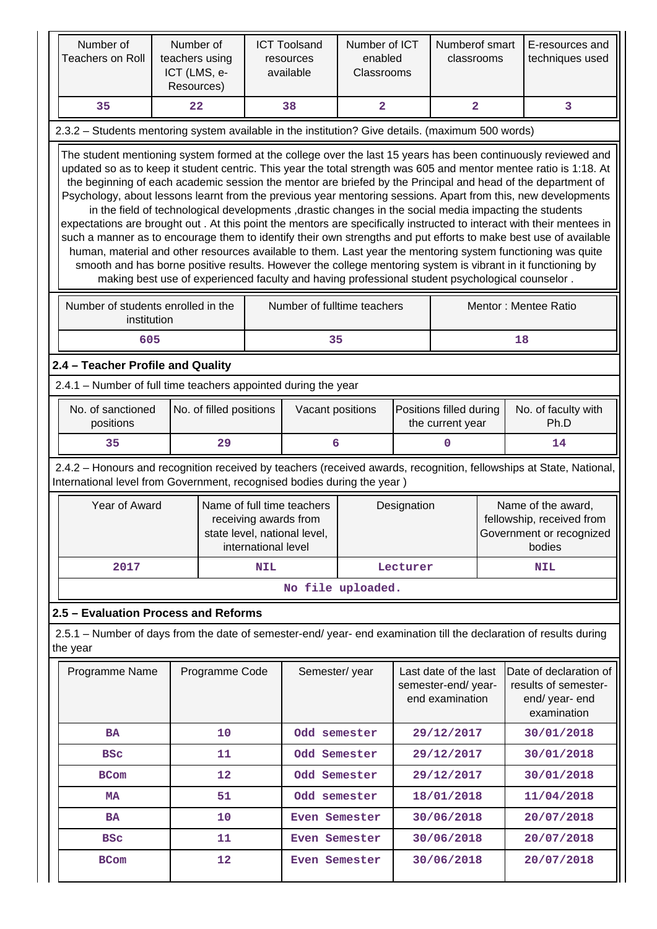| Number of<br><b>Teachers on Roll</b>                                                              | Number of<br>teachers using<br>ICT (LMS, e-<br>Resources) |                |                  | <b>ICT Toolsand</b><br>resources<br>available                                                                             | Number of ICT<br>enabled<br>Classrooms |          | Numberof smart<br>classrooms                                               |                                                                                       | E-resources and<br>techniques used                                                                                                                                                                                                                                                                                                                                                                                                                                                                                                                                                                                                                                                                                                                                                                                                                                                                                                                                                                                                                                                                                                                            |  |
|---------------------------------------------------------------------------------------------------|-----------------------------------------------------------|----------------|------------------|---------------------------------------------------------------------------------------------------------------------------|----------------------------------------|----------|----------------------------------------------------------------------------|---------------------------------------------------------------------------------------|---------------------------------------------------------------------------------------------------------------------------------------------------------------------------------------------------------------------------------------------------------------------------------------------------------------------------------------------------------------------------------------------------------------------------------------------------------------------------------------------------------------------------------------------------------------------------------------------------------------------------------------------------------------------------------------------------------------------------------------------------------------------------------------------------------------------------------------------------------------------------------------------------------------------------------------------------------------------------------------------------------------------------------------------------------------------------------------------------------------------------------------------------------------|--|
| 35                                                                                                | 22                                                        |                |                  | 38                                                                                                                        | $\overline{2}$                         |          | $\overline{2}$                                                             |                                                                                       | 3                                                                                                                                                                                                                                                                                                                                                                                                                                                                                                                                                                                                                                                                                                                                                                                                                                                                                                                                                                                                                                                                                                                                                             |  |
| 2.3.2 - Students mentoring system available in the institution? Give details. (maximum 500 words) |                                                           |                |                  |                                                                                                                           |                                        |          |                                                                            |                                                                                       |                                                                                                                                                                                                                                                                                                                                                                                                                                                                                                                                                                                                                                                                                                                                                                                                                                                                                                                                                                                                                                                                                                                                                               |  |
|                                                                                                   |                                                           |                |                  |                                                                                                                           |                                        |          |                                                                            |                                                                                       | The student mentioning system formed at the college over the last 15 years has been continuously reviewed and<br>updated so as to keep it student centric. This year the total strength was 605 and mentor mentee ratio is 1:18. At<br>the beginning of each academic session the mentor are briefed by the Principal and head of the department of<br>Psychology, about lessons learnt from the previous year mentoring sessions. Apart from this, new developments<br>in the field of technological developments , drastic changes in the social media impacting the students<br>expectations are brought out. At this point the mentors are specifically instructed to interact with their mentees in<br>such a manner as to encourage them to identify their own strengths and put efforts to make best use of available<br>human, material and other resources available to them. Last year the mentoring system functioning was quite<br>smooth and has borne positive results. However the college mentoring system is vibrant in it functioning by<br>making best use of experienced faculty and having professional student psychological counselor. |  |
| Number of students enrolled in the<br>institution                                                 |                                                           |                |                  | Number of fulltime teachers                                                                                               |                                        |          |                                                                            |                                                                                       | Mentor: Mentee Ratio                                                                                                                                                                                                                                                                                                                                                                                                                                                                                                                                                                                                                                                                                                                                                                                                                                                                                                                                                                                                                                                                                                                                          |  |
| 605                                                                                               |                                                           |                |                  | 35                                                                                                                        |                                        |          |                                                                            |                                                                                       | 18                                                                                                                                                                                                                                                                                                                                                                                                                                                                                                                                                                                                                                                                                                                                                                                                                                                                                                                                                                                                                                                                                                                                                            |  |
| 2.4 - Teacher Profile and Quality                                                                 |                                                           |                |                  |                                                                                                                           |                                        |          |                                                                            |                                                                                       |                                                                                                                                                                                                                                                                                                                                                                                                                                                                                                                                                                                                                                                                                                                                                                                                                                                                                                                                                                                                                                                                                                                                                               |  |
| 2.4.1 - Number of full time teachers appointed during the year                                    |                                                           |                |                  |                                                                                                                           |                                        |          |                                                                            |                                                                                       |                                                                                                                                                                                                                                                                                                                                                                                                                                                                                                                                                                                                                                                                                                                                                                                                                                                                                                                                                                                                                                                                                                                                                               |  |
| No. of sanctioned<br>positions                                                                    | No. of filled positions                                   |                | Vacant positions |                                                                                                                           |                                        |          | Positions filled during<br>No. of faculty with<br>the current year<br>Ph.D |                                                                                       |                                                                                                                                                                                                                                                                                                                                                                                                                                                                                                                                                                                                                                                                                                                                                                                                                                                                                                                                                                                                                                                                                                                                                               |  |
| 35                                                                                                |                                                           | 29             |                  | 6<br>$\mathbf 0$                                                                                                          |                                        |          |                                                                            |                                                                                       | 14                                                                                                                                                                                                                                                                                                                                                                                                                                                                                                                                                                                                                                                                                                                                                                                                                                                                                                                                                                                                                                                                                                                                                            |  |
| International level from Government, recognised bodies during the year)                           |                                                           |                |                  |                                                                                                                           |                                        |          |                                                                            |                                                                                       | 2.4.2 - Honours and recognition received by teachers (received awards, recognition, fellowships at State, National,                                                                                                                                                                                                                                                                                                                                                                                                                                                                                                                                                                                                                                                                                                                                                                                                                                                                                                                                                                                                                                           |  |
| Year of Award                                                                                     |                                                           |                |                  | Name of full time teachers<br>Designation<br>receiving awards from<br>state level, national level,<br>international level |                                        |          |                                                                            | Name of the award,<br>fellowship, received from<br>Government or recognized<br>bodies |                                                                                                                                                                                                                                                                                                                                                                                                                                                                                                                                                                                                                                                                                                                                                                                                                                                                                                                                                                                                                                                                                                                                                               |  |
| 2017                                                                                              |                                                           |                | <b>NIL</b>       |                                                                                                                           |                                        | Lecturer |                                                                            |                                                                                       | <b>NIL</b>                                                                                                                                                                                                                                                                                                                                                                                                                                                                                                                                                                                                                                                                                                                                                                                                                                                                                                                                                                                                                                                                                                                                                    |  |
|                                                                                                   |                                                           |                |                  |                                                                                                                           | No file uploaded.                      |          |                                                                            |                                                                                       |                                                                                                                                                                                                                                                                                                                                                                                                                                                                                                                                                                                                                                                                                                                                                                                                                                                                                                                                                                                                                                                                                                                                                               |  |
| 2.5 - Evaluation Process and Reforms                                                              |                                                           |                |                  |                                                                                                                           |                                        |          |                                                                            |                                                                                       |                                                                                                                                                                                                                                                                                                                                                                                                                                                                                                                                                                                                                                                                                                                                                                                                                                                                                                                                                                                                                                                                                                                                                               |  |
| the year                                                                                          |                                                           |                |                  |                                                                                                                           |                                        |          |                                                                            |                                                                                       | 2.5.1 – Number of days from the date of semester-end/ year- end examination till the declaration of results during                                                                                                                                                                                                                                                                                                                                                                                                                                                                                                                                                                                                                                                                                                                                                                                                                                                                                                                                                                                                                                            |  |
| Programme Name                                                                                    |                                                           | Programme Code |                  | Semester/year                                                                                                             |                                        |          | Last date of the last<br>semester-end/year-<br>end examination             |                                                                                       | Date of declaration of<br>results of semester-<br>end/ year- end<br>examination                                                                                                                                                                                                                                                                                                                                                                                                                                                                                                                                                                                                                                                                                                                                                                                                                                                                                                                                                                                                                                                                               |  |
| <b>BA</b>                                                                                         |                                                           | 10             |                  | Odd semester                                                                                                              |                                        |          | 29/12/2017                                                                 |                                                                                       | 30/01/2018                                                                                                                                                                                                                                                                                                                                                                                                                                                                                                                                                                                                                                                                                                                                                                                                                                                                                                                                                                                                                                                                                                                                                    |  |
| <b>BSC</b>                                                                                        |                                                           | 11             |                  | Odd Semester                                                                                                              |                                        |          | 29/12/2017                                                                 |                                                                                       | 30/01/2018                                                                                                                                                                                                                                                                                                                                                                                                                                                                                                                                                                                                                                                                                                                                                                                                                                                                                                                                                                                                                                                                                                                                                    |  |
| <b>BCom</b>                                                                                       |                                                           | 12             |                  | Odd Semester                                                                                                              |                                        |          | 29/12/2017                                                                 |                                                                                       | 30/01/2018                                                                                                                                                                                                                                                                                                                                                                                                                                                                                                                                                                                                                                                                                                                                                                                                                                                                                                                                                                                                                                                                                                                                                    |  |
| MA                                                                                                |                                                           | 51             |                  | Odd semester                                                                                                              |                                        |          | 18/01/2018                                                                 |                                                                                       | 11/04/2018                                                                                                                                                                                                                                                                                                                                                                                                                                                                                                                                                                                                                                                                                                                                                                                                                                                                                                                                                                                                                                                                                                                                                    |  |
| BA                                                                                                |                                                           | 10             |                  | Even Semester                                                                                                             |                                        |          | 30/06/2018                                                                 |                                                                                       | 20/07/2018                                                                                                                                                                                                                                                                                                                                                                                                                                                                                                                                                                                                                                                                                                                                                                                                                                                                                                                                                                                                                                                                                                                                                    |  |
| <b>BSC</b>                                                                                        |                                                           | 11             |                  | Even Semester                                                                                                             |                                        |          | 30/06/2018                                                                 |                                                                                       | 20/07/2018                                                                                                                                                                                                                                                                                                                                                                                                                                                                                                                                                                                                                                                                                                                                                                                                                                                                                                                                                                                                                                                                                                                                                    |  |
| <b>BCom</b>                                                                                       |                                                           | 12             |                  | Even Semester                                                                                                             |                                        |          | 30/06/2018                                                                 |                                                                                       | 20/07/2018                                                                                                                                                                                                                                                                                                                                                                                                                                                                                                                                                                                                                                                                                                                                                                                                                                                                                                                                                                                                                                                                                                                                                    |  |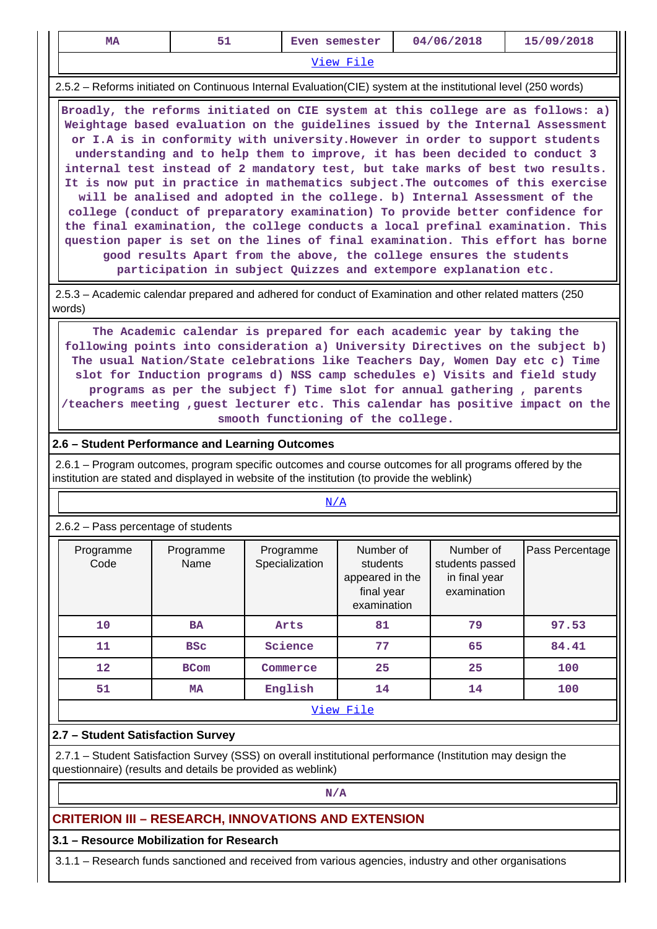| <b>MA</b>                                                                                                                                                                                                                                                                                                                                                                                                                                                                                                                   | 51                | Even semester               |                                                                       | 04/06/2018                                                                                                                                                                                                                                                                                          | 15/09/2018                                                                                                                                                                                                                                                                                                                                                                                                                                                                                                                                                                                                                                                                   |  |  |  |
|-----------------------------------------------------------------------------------------------------------------------------------------------------------------------------------------------------------------------------------------------------------------------------------------------------------------------------------------------------------------------------------------------------------------------------------------------------------------------------------------------------------------------------|-------------------|-----------------------------|-----------------------------------------------------------------------|-----------------------------------------------------------------------------------------------------------------------------------------------------------------------------------------------------------------------------------------------------------------------------------------------------|------------------------------------------------------------------------------------------------------------------------------------------------------------------------------------------------------------------------------------------------------------------------------------------------------------------------------------------------------------------------------------------------------------------------------------------------------------------------------------------------------------------------------------------------------------------------------------------------------------------------------------------------------------------------------|--|--|--|
|                                                                                                                                                                                                                                                                                                                                                                                                                                                                                                                             |                   |                             | <u>View File</u>                                                      |                                                                                                                                                                                                                                                                                                     |                                                                                                                                                                                                                                                                                                                                                                                                                                                                                                                                                                                                                                                                              |  |  |  |
|                                                                                                                                                                                                                                                                                                                                                                                                                                                                                                                             |                   |                             |                                                                       | 2.5.2 – Reforms initiated on Continuous Internal Evaluation (CIE) system at the institutional level (250 words)                                                                                                                                                                                     |                                                                                                                                                                                                                                                                                                                                                                                                                                                                                                                                                                                                                                                                              |  |  |  |
|                                                                                                                                                                                                                                                                                                                                                                                                                                                                                                                             |                   |                             |                                                                       | understanding and to help them to improve, it has been decided to conduct 3<br>will be analised and adopted in the college. b) Internal Assessment of the<br>good results Apart from the above, the college ensures the students<br>participation in subject Quizzes and extempore explanation etc. | Broadly, the reforms initiated on CIE system at this college are as follows: a)<br>Weightage based evaluation on the guidelines issued by the Internal Assessment<br>or I.A is in conformity with university. However in order to support students<br>internal test instead of 2 mandatory test, but take marks of best two results.<br>It is now put in practice in mathematics subject. The outcomes of this exercise<br>college (conduct of preparatory examination) To provide better confidence for<br>the final examination, the college conducts a local prefinal examination. This<br>question paper is set on the lines of final examination. This effort has borne |  |  |  |
| words)                                                                                                                                                                                                                                                                                                                                                                                                                                                                                                                      |                   |                             |                                                                       | 2.5.3 – Academic calendar prepared and adhered for conduct of Examination and other related matters (250)                                                                                                                                                                                           |                                                                                                                                                                                                                                                                                                                                                                                                                                                                                                                                                                                                                                                                              |  |  |  |
| The Academic calendar is prepared for each academic year by taking the<br>following points into consideration a) University Directives on the subject b)<br>The usual Nation/State celebrations like Teachers Day, Women Day etc c) Time<br>slot for Induction programs d) NSS camp schedules e) Visits and field study<br>programs as per the subject f) Time slot for annual gathering, parents<br>/teachers meeting , guest lecturer etc. This calendar has positive impact on the<br>smooth functioning of the college. |                   |                             |                                                                       |                                                                                                                                                                                                                                                                                                     |                                                                                                                                                                                                                                                                                                                                                                                                                                                                                                                                                                                                                                                                              |  |  |  |
| 2.6 - Student Performance and Learning Outcomes                                                                                                                                                                                                                                                                                                                                                                                                                                                                             |                   |                             |                                                                       |                                                                                                                                                                                                                                                                                                     |                                                                                                                                                                                                                                                                                                                                                                                                                                                                                                                                                                                                                                                                              |  |  |  |
| institution are stated and displayed in website of the institution (to provide the weblink)                                                                                                                                                                                                                                                                                                                                                                                                                                 |                   |                             |                                                                       | 2.6.1 – Program outcomes, program specific outcomes and course outcomes for all programs offered by the                                                                                                                                                                                             |                                                                                                                                                                                                                                                                                                                                                                                                                                                                                                                                                                                                                                                                              |  |  |  |
| 2.6.2 - Pass percentage of students                                                                                                                                                                                                                                                                                                                                                                                                                                                                                         |                   | N/A                         |                                                                       |                                                                                                                                                                                                                                                                                                     |                                                                                                                                                                                                                                                                                                                                                                                                                                                                                                                                                                                                                                                                              |  |  |  |
| Programme<br>Code                                                                                                                                                                                                                                                                                                                                                                                                                                                                                                           | Programme<br>Name | Programme<br>Specialization | Number of<br>students<br>appeared in the<br>final year<br>examination | Number of<br>students passed<br>in final year<br>examination                                                                                                                                                                                                                                        | Pass Percentage                                                                                                                                                                                                                                                                                                                                                                                                                                                                                                                                                                                                                                                              |  |  |  |
| 10                                                                                                                                                                                                                                                                                                                                                                                                                                                                                                                          | <b>BA</b>         | Arts                        | 81                                                                    | 79                                                                                                                                                                                                                                                                                                  | 97.53                                                                                                                                                                                                                                                                                                                                                                                                                                                                                                                                                                                                                                                                        |  |  |  |
| 11                                                                                                                                                                                                                                                                                                                                                                                                                                                                                                                          | <b>BSC</b>        | Science                     | 77                                                                    | 65                                                                                                                                                                                                                                                                                                  | 84.41                                                                                                                                                                                                                                                                                                                                                                                                                                                                                                                                                                                                                                                                        |  |  |  |
| 12                                                                                                                                                                                                                                                                                                                                                                                                                                                                                                                          | <b>BCom</b>       | Commerce                    | 25                                                                    | 25                                                                                                                                                                                                                                                                                                  | 100                                                                                                                                                                                                                                                                                                                                                                                                                                                                                                                                                                                                                                                                          |  |  |  |
| 51                                                                                                                                                                                                                                                                                                                                                                                                                                                                                                                          | <b>MA</b>         | English                     | 14                                                                    | 14                                                                                                                                                                                                                                                                                                  | 100                                                                                                                                                                                                                                                                                                                                                                                                                                                                                                                                                                                                                                                                          |  |  |  |
|                                                                                                                                                                                                                                                                                                                                                                                                                                                                                                                             |                   |                             | View File                                                             |                                                                                                                                                                                                                                                                                                     |                                                                                                                                                                                                                                                                                                                                                                                                                                                                                                                                                                                                                                                                              |  |  |  |
| 2.7 - Student Satisfaction Survey<br>questionnaire) (results and details be provided as weblink)                                                                                                                                                                                                                                                                                                                                                                                                                            |                   |                             |                                                                       | 2.7.1 - Student Satisfaction Survey (SSS) on overall institutional performance (Institution may design the                                                                                                                                                                                          |                                                                                                                                                                                                                                                                                                                                                                                                                                                                                                                                                                                                                                                                              |  |  |  |
|                                                                                                                                                                                                                                                                                                                                                                                                                                                                                                                             |                   | N/A                         |                                                                       |                                                                                                                                                                                                                                                                                                     |                                                                                                                                                                                                                                                                                                                                                                                                                                                                                                                                                                                                                                                                              |  |  |  |
|                                                                                                                                                                                                                                                                                                                                                                                                                                                                                                                             |                   |                             |                                                                       |                                                                                                                                                                                                                                                                                                     |                                                                                                                                                                                                                                                                                                                                                                                                                                                                                                                                                                                                                                                                              |  |  |  |
| <b>CRITERION III - RESEARCH, INNOVATIONS AND EXTENSION</b><br>3.1 - Resource Mobilization for Research                                                                                                                                                                                                                                                                                                                                                                                                                      |                   |                             |                                                                       |                                                                                                                                                                                                                                                                                                     |                                                                                                                                                                                                                                                                                                                                                                                                                                                                                                                                                                                                                                                                              |  |  |  |
|                                                                                                                                                                                                                                                                                                                                                                                                                                                                                                                             |                   |                             |                                                                       | 3.1.1 - Research funds sanctioned and received from various agencies, industry and other organisations                                                                                                                                                                                              |                                                                                                                                                                                                                                                                                                                                                                                                                                                                                                                                                                                                                                                                              |  |  |  |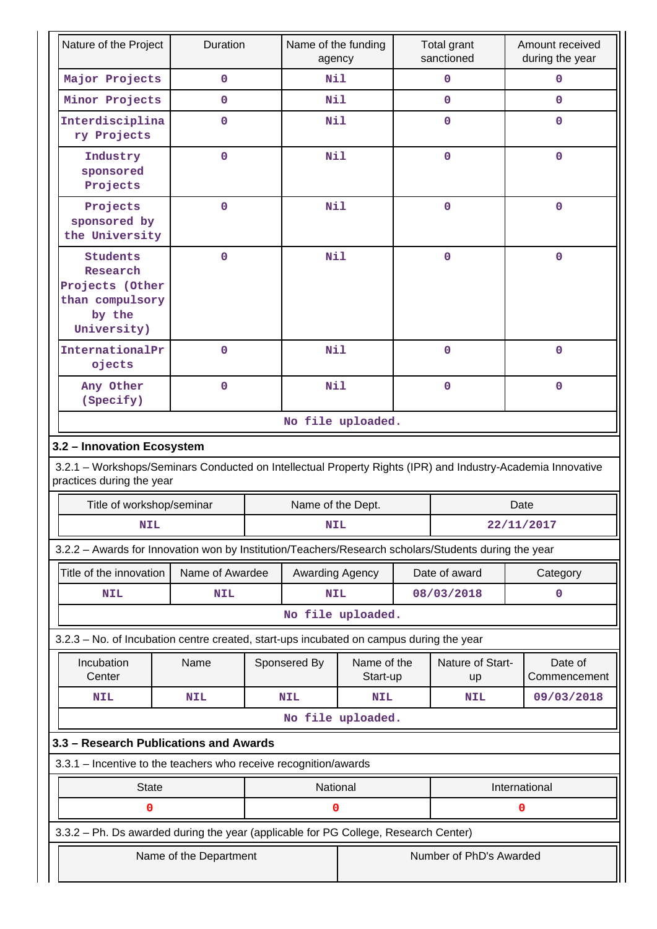| Nature of the Project                                                                                                                    | Duration               |  | Name of the funding<br>agency |                         |             | Total grant<br>sanctioned |      | Amount received<br>during the year |
|------------------------------------------------------------------------------------------------------------------------------------------|------------------------|--|-------------------------------|-------------------------|-------------|---------------------------|------|------------------------------------|
| Major Projects                                                                                                                           | 0                      |  | Nil                           |                         |             | $\mathbf 0$               |      | 0                                  |
| Minor Projects                                                                                                                           | $\mathbf 0$            |  | Nil                           |                         |             | $\mathbf 0$               |      | $\mathbf 0$                        |
| Interdisciplina<br>ry Projects                                                                                                           | $\mathbf 0$            |  |                               | Nil                     |             | $\mathbf 0$               |      | 0                                  |
| Industry<br>sponsored<br>Projects                                                                                                        | $\overline{0}$         |  | Nil                           |                         |             | $\mathbf 0$               |      | $\Omega$                           |
| Projects<br>sponsored by<br>the University                                                                                               | $\mathbf 0$            |  | Nil                           |                         |             | $\mathbf 0$               |      | $\mathbf 0$                        |
| Students<br>Research<br>Projects (Other<br>than compulsory<br>by the<br>University)                                                      | $\mathbf 0$            |  | <b>Nil</b>                    |                         | $\mathbf 0$ |                           |      | 0                                  |
| InternationalPr<br>ojects                                                                                                                | $\mathbf 0$            |  | Nil                           |                         |             | $\mathbf 0$               |      | $\Omega$                           |
| Any Other<br>(Specify)                                                                                                                   | $\mathbf 0$            |  | <b>Nil</b>                    |                         | $\mathbf 0$ |                           |      | 0                                  |
|                                                                                                                                          |                        |  |                               | No file uploaded.       |             |                           |      |                                    |
| 3.2 - Innovation Ecosystem                                                                                                               |                        |  |                               |                         |             |                           |      |                                    |
| 3.2.1 - Workshops/Seminars Conducted on Intellectual Property Rights (IPR) and Industry-Academia Innovative<br>practices during the year |                        |  |                               |                         |             |                           |      |                                    |
| Title of workshop/seminar                                                                                                                |                        |  | Name of the Dept.             |                         |             |                           | Date |                                    |
| <b>NIL</b>                                                                                                                               |                        |  | <b>NIL</b>                    |                         |             |                           |      | 22/11/2017                         |
| 3.2.2 - Awards for Innovation won by Institution/Teachers/Research scholars/Students during the year                                     |                        |  |                               |                         |             |                           |      |                                    |
| Title of the innovation                                                                                                                  | Name of Awardee        |  | Awarding Agency               |                         |             | Date of award             |      | Category                           |
| <b>NIL</b>                                                                                                                               | <b>NIL</b>             |  | <b>NIL</b>                    |                         |             | 08/03/2018                |      | 0                                  |
|                                                                                                                                          |                        |  |                               | No file uploaded.       |             |                           |      |                                    |
| 3.2.3 - No. of Incubation centre created, start-ups incubated on campus during the year                                                  |                        |  |                               |                         |             |                           |      |                                    |
| Incubation<br>Center                                                                                                                     | Name                   |  | Sponsered By                  | Name of the<br>Start-up |             | Nature of Start-<br>up    |      | Date of<br>Commencement            |
| <b>NIL</b>                                                                                                                               | <b>NIL</b>             |  | <b>NIL</b>                    | <b>NIL</b>              |             | <b>NIL</b>                |      | 09/03/2018                         |
|                                                                                                                                          |                        |  |                               | No file uploaded.       |             |                           |      |                                    |
| 3.3 - Research Publications and Awards                                                                                                   |                        |  |                               |                         |             |                           |      |                                    |
| 3.3.1 - Incentive to the teachers who receive recognition/awards                                                                         |                        |  |                               |                         |             |                           |      |                                    |
| <b>State</b>                                                                                                                             |                        |  | National                      |                         |             |                           |      | International                      |
| 0                                                                                                                                        |                        |  | 0                             |                         |             |                           | 0    |                                    |
| 3.3.2 - Ph. Ds awarded during the year (applicable for PG College, Research Center)                                                      |                        |  |                               |                         |             |                           |      |                                    |
|                                                                                                                                          | Name of the Department |  |                               |                         |             | Number of PhD's Awarded   |      |                                    |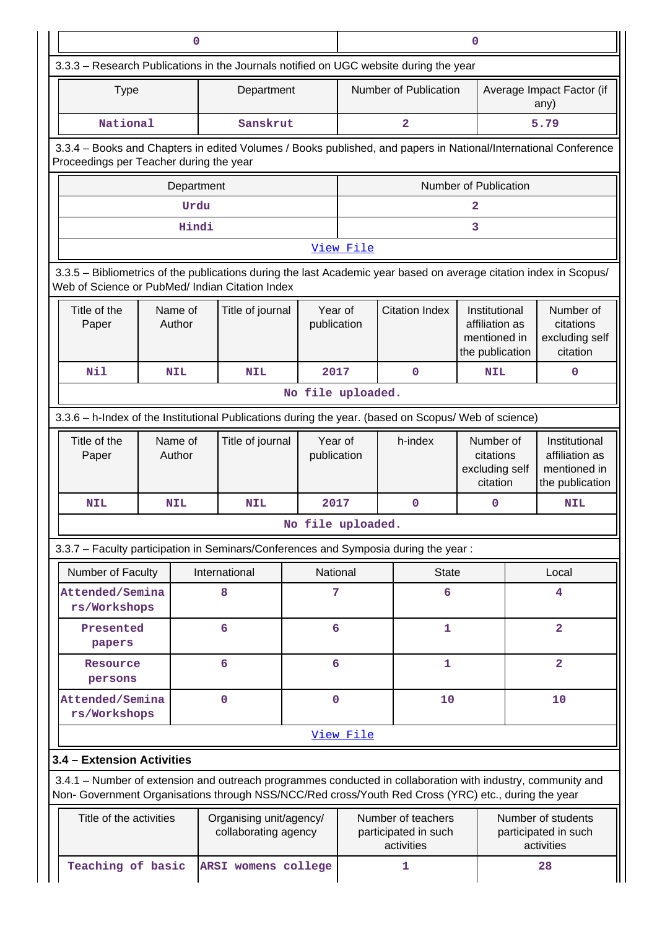|                                                                                                                                                                                                                    |                   | 0          |                                                 |                         | $\mathbf 0$                                              |             |                       |                                                                    |                                                          |                                                                    |  |
|--------------------------------------------------------------------------------------------------------------------------------------------------------------------------------------------------------------------|-------------------|------------|-------------------------------------------------|-------------------------|----------------------------------------------------------|-------------|-----------------------|--------------------------------------------------------------------|----------------------------------------------------------|--------------------------------------------------------------------|--|
| 3.3.3 - Research Publications in the Journals notified on UGC website during the year                                                                                                                              |                   |            |                                                 |                         |                                                          |             |                       |                                                                    |                                                          |                                                                    |  |
| <b>Type</b>                                                                                                                                                                                                        |                   |            | Department                                      |                         |                                                          |             | Number of Publication |                                                                    | Average Impact Factor (if<br>any)                        |                                                                    |  |
| National                                                                                                                                                                                                           |                   |            | Sanskrut                                        | $\overline{\mathbf{2}}$ |                                                          |             |                       |                                                                    | 5.79                                                     |                                                                    |  |
| 3.3.4 - Books and Chapters in edited Volumes / Books published, and papers in National/International Conference<br>Proceedings per Teacher during the year                                                         |                   |            |                                                 |                         |                                                          |             |                       |                                                                    |                                                          |                                                                    |  |
|                                                                                                                                                                                                                    |                   | Department |                                                 |                         |                                                          |             |                       | Number of Publication                                              |                                                          |                                                                    |  |
|                                                                                                                                                                                                                    |                   | Urdu       |                                                 |                         |                                                          |             |                       | 2                                                                  |                                                          |                                                                    |  |
|                                                                                                                                                                                                                    |                   | Hindi      |                                                 |                         |                                                          |             |                       | 3                                                                  |                                                          |                                                                    |  |
|                                                                                                                                                                                                                    |                   |            |                                                 |                         | View File                                                |             |                       |                                                                    |                                                          |                                                                    |  |
| 3.3.5 - Bibliometrics of the publications during the last Academic year based on average citation index in Scopus/<br>Web of Science or PubMed/ Indian Citation Index                                              |                   |            |                                                 |                         |                                                          |             |                       |                                                                    |                                                          |                                                                    |  |
| Title of the<br>Paper                                                                                                                                                                                              | Name of<br>Author |            | Title of journal                                | Year of<br>publication  |                                                          |             | <b>Citation Index</b> | Institutional<br>affiliation as<br>mentioned in<br>the publication |                                                          | Number of<br>citations<br>excluding self<br>citation               |  |
| Nil                                                                                                                                                                                                                | <b>NIL</b>        |            | <b>NIL</b>                                      | 2017                    |                                                          |             | $\mathbf 0$           | <b>NIL</b>                                                         |                                                          | $\mathbf 0$                                                        |  |
|                                                                                                                                                                                                                    |                   |            |                                                 | No file uploaded.       |                                                          |             |                       |                                                                    |                                                          |                                                                    |  |
| 3.3.6 - h-Index of the Institutional Publications during the year. (based on Scopus/ Web of science)                                                                                                               |                   |            |                                                 |                         |                                                          |             |                       |                                                                    |                                                          |                                                                    |  |
| Title of the<br>Paper                                                                                                                                                                                              | Name of<br>Author |            | Title of journal                                | Year of<br>publication  |                                                          | h-index     |                       | Number of<br>citations<br>excluding self<br>citation               |                                                          | Institutional<br>affiliation as<br>mentioned in<br>the publication |  |
| <b>NIL</b>                                                                                                                                                                                                         | <b>NIL</b>        |            | NIL                                             | 2017                    |                                                          | $\mathbf 0$ |                       | 0                                                                  |                                                          | <b>NIL</b>                                                         |  |
|                                                                                                                                                                                                                    |                   |            |                                                 | No file uploaded.       |                                                          |             |                       |                                                                    |                                                          |                                                                    |  |
| 3.3.7 - Faculty participation in Seminars/Conferences and Symposia during the year:                                                                                                                                |                   |            |                                                 |                         |                                                          |             |                       |                                                                    |                                                          |                                                                    |  |
| Number of Faculty                                                                                                                                                                                                  |                   |            | International                                   | National                |                                                          |             | <b>State</b>          |                                                                    |                                                          | Local                                                              |  |
| Attended/Semina<br>rs/Workshops                                                                                                                                                                                    |                   |            | 8                                               | 7                       | 6                                                        |             |                       |                                                                    | 4                                                        |                                                                    |  |
| Presented<br>papers                                                                                                                                                                                                |                   |            | 6                                               | 6                       |                                                          |             | $\mathbf{1}$          |                                                                    |                                                          | $\overline{\mathbf{2}}$                                            |  |
| Resource<br>persons                                                                                                                                                                                                |                   |            | 6                                               | 6                       |                                                          |             | $\mathbf{1}$          |                                                                    |                                                          | $\overline{2}$                                                     |  |
| Attended/Semina<br>rs/Workshops                                                                                                                                                                                    |                   |            | $\mathbf 0$                                     | $\mathbf 0$             |                                                          |             | 10                    |                                                                    |                                                          | 10                                                                 |  |
|                                                                                                                                                                                                                    |                   |            |                                                 |                         | View File                                                |             |                       |                                                                    |                                                          |                                                                    |  |
| 3.4 - Extension Activities                                                                                                                                                                                         |                   |            |                                                 |                         |                                                          |             |                       |                                                                    |                                                          |                                                                    |  |
| 3.4.1 - Number of extension and outreach programmes conducted in collaboration with industry, community and<br>Non- Government Organisations through NSS/NCC/Red cross/Youth Red Cross (YRC) etc., during the year |                   |            |                                                 |                         |                                                          |             |                       |                                                                    |                                                          |                                                                    |  |
| Title of the activities                                                                                                                                                                                            |                   |            | Organising unit/agency/<br>collaborating agency |                         | Number of teachers<br>participated in such<br>activities |             |                       |                                                                    | Number of students<br>participated in such<br>activities |                                                                    |  |
| Teaching of basic                                                                                                                                                                                                  |                   |            | ARSI womens college                             |                         | 1                                                        |             |                       |                                                                    |                                                          | 28                                                                 |  |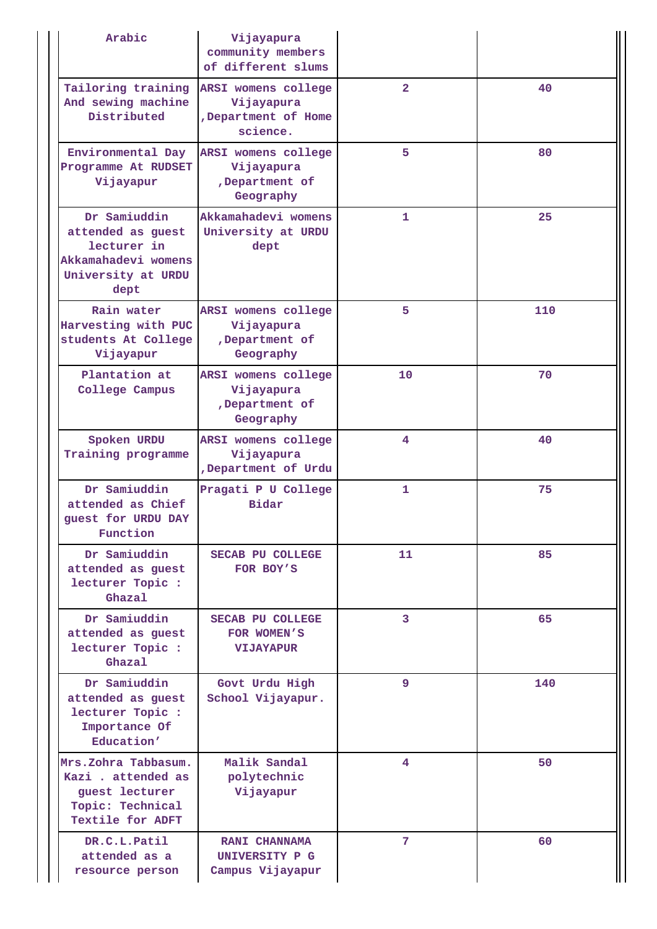| Arabic                                                                                                | Vijayapura<br>community members<br>of different slums                |              |     |
|-------------------------------------------------------------------------------------------------------|----------------------------------------------------------------------|--------------|-----|
| Tailoring training<br>And sewing machine<br>Distributed                                               | ARSI womens college<br>Vijayapura<br>,Department of Home<br>science. | $\mathbf{2}$ | 40  |
| Environmental Day<br>Programme At RUDSET<br>Vijayapur                                                 | ARSI womens college<br>Vijayapura<br>,Department of<br>Geography     | 5            | 80  |
| Dr Samiuddin<br>attended as guest<br>lecturer in<br>Akkamahadevi womens<br>University at URDU<br>dept | Akkamahadevi womens<br>University at URDU<br>dept                    | $\mathbf{1}$ | 25  |
| Rain water<br>Harvesting with PUC<br>students At College<br>Vijayapur                                 | ARSI womens college<br>Vijayapura<br>,Department of<br>Geography     | 5            | 110 |
| Plantation at<br>College Campus                                                                       | ARSI womens college<br>Vijayapura<br>,Department of<br>Geography     | 10           | 70  |
| Spoken URDU<br>Training programme                                                                     | ARSI womens college<br>Vijayapura<br>,Department of Urdu             | 4            | 40  |
| Dr Samiuddin<br>attended as Chief<br>guest for URDU DAY<br>Function                                   | Pragati P U College<br>Bidar                                         | $\mathbf{1}$ | 75  |
| Dr Samiuddin<br>attended as guest<br>lecturer Topic :<br>Ghazal                                       | SECAB PU COLLEGE<br>FOR BOY'S                                        | 11           | 85  |
| Dr Samiuddin<br>attended as guest<br>lecturer Topic :<br>Ghazal                                       | <b>SECAB PU COLLEGE</b><br>FOR WOMEN'S<br><b>VIJAYAPUR</b>           | 3            | 65  |
| Dr Samiuddin<br>attended as guest<br>lecturer Topic :<br>Importance Of<br>Education'                  | Govt Urdu High<br>School Vijayapur.                                  | 9            | 140 |
| Mrs.Zohra Tabbasum.<br>Kazi . attended as<br>guest lecturer<br>Topic: Technical<br>Textile for ADFT   | Malik Sandal<br>polytechnic<br>Vijayapur                             | 4            | 50  |
| DR.C.L.Patil<br>attended as a<br>resource person                                                      | <b>RANI CHANNAMA</b><br>UNIVERSITY P G<br>Campus Vijayapur           | 7            | 60  |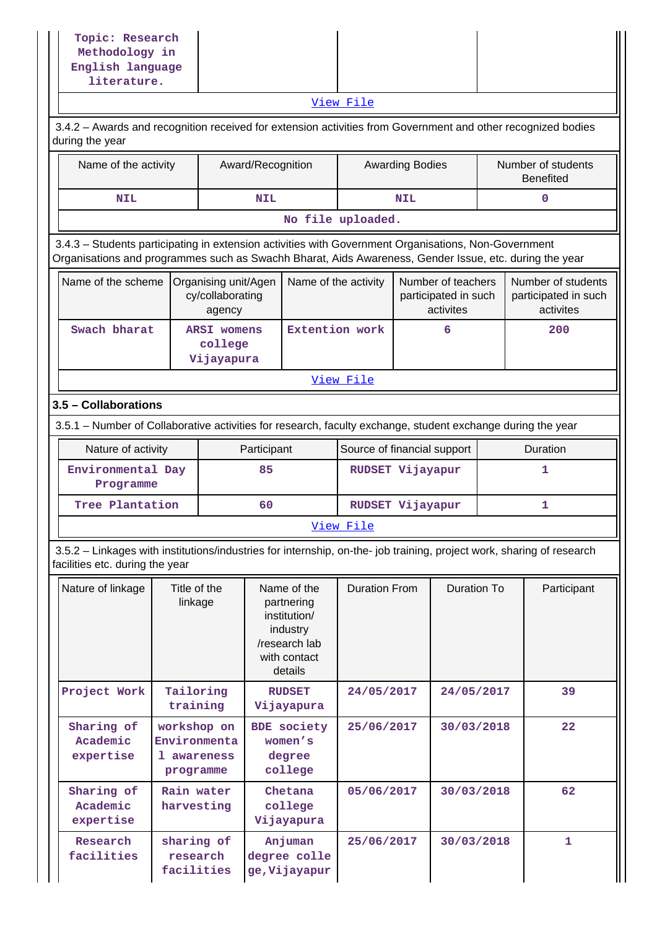| Topic: Research<br>Methodology in                                                                                                                                                                              |                                                         |                                                    |                                                                                                   |                                                    |                                     |                        |                                                         |                                                         |
|----------------------------------------------------------------------------------------------------------------------------------------------------------------------------------------------------------------|---------------------------------------------------------|----------------------------------------------------|---------------------------------------------------------------------------------------------------|----------------------------------------------------|-------------------------------------|------------------------|---------------------------------------------------------|---------------------------------------------------------|
| English language<br>literature.                                                                                                                                                                                |                                                         |                                                    |                                                                                                   |                                                    |                                     |                        |                                                         |                                                         |
|                                                                                                                                                                                                                |                                                         |                                                    |                                                                                                   |                                                    | View File                           |                        |                                                         |                                                         |
| 3.4.2 - Awards and recognition received for extension activities from Government and other recognized bodies<br>during the year                                                                                |                                                         |                                                    |                                                                                                   |                                                    |                                     |                        |                                                         |                                                         |
| Name of the activity                                                                                                                                                                                           |                                                         |                                                    | Award/Recognition                                                                                 |                                                    |                                     | <b>Awarding Bodies</b> |                                                         | Number of students<br><b>Benefited</b>                  |
| <b>NIL</b>                                                                                                                                                                                                     |                                                         |                                                    | <b>NIL</b>                                                                                        |                                                    |                                     | <b>NIL</b>             |                                                         | 0                                                       |
|                                                                                                                                                                                                                |                                                         |                                                    |                                                                                                   | No file uploaded.                                  |                                     |                        |                                                         |                                                         |
| 3.4.3 - Students participating in extension activities with Government Organisations, Non-Government<br>Organisations and programmes such as Swachh Bharat, Aids Awareness, Gender Issue, etc. during the year |                                                         |                                                    |                                                                                                   |                                                    |                                     |                        |                                                         |                                                         |
| Name of the scheme                                                                                                                                                                                             |                                                         | Organising unit/Agen<br>cy/collaborating<br>agency |                                                                                                   | Name of the activity                               |                                     |                        | Number of teachers<br>participated in such<br>activites | Number of students<br>participated in such<br>activites |
| Swach bharat                                                                                                                                                                                                   |                                                         | <b>ARSI womens</b><br>college<br>Vijayapura        |                                                                                                   | Extention work                                     |                                     |                        | 6                                                       | 200                                                     |
|                                                                                                                                                                                                                |                                                         |                                                    |                                                                                                   |                                                    | View File                           |                        |                                                         |                                                         |
| 3.5 - Collaborations                                                                                                                                                                                           |                                                         |                                                    |                                                                                                   |                                                    |                                     |                        |                                                         |                                                         |
| 3.5.1 - Number of Collaborative activities for research, faculty exchange, student exchange during the year                                                                                                    |                                                         |                                                    |                                                                                                   |                                                    |                                     |                        |                                                         |                                                         |
| Nature of activity                                                                                                                                                                                             |                                                         |                                                    | Participant                                                                                       |                                                    | Source of financial support         |                        |                                                         | Duration                                                |
|                                                                                                                                                                                                                | Environmental Day<br>Programme                          |                                                    | 85                                                                                                | RUDSET Vijayapur                                   |                                     |                        |                                                         | 1                                                       |
| Tree Plantation                                                                                                                                                                                                |                                                         |                                                    | 60<br>RUDSET Vijayapur                                                                            |                                                    |                                     | 1                      |                                                         |                                                         |
|                                                                                                                                                                                                                |                                                         |                                                    |                                                                                                   |                                                    | View File                           |                        |                                                         |                                                         |
| 3.5.2 - Linkages with institutions/industries for internship, on-the- job training, project work, sharing of research<br>facilities etc. during the year                                                       |                                                         |                                                    |                                                                                                   |                                                    |                                     |                        |                                                         |                                                         |
| Nature of linkage                                                                                                                                                                                              | Title of the<br>linkage                                 |                                                    | Name of the<br>partnering<br>institution/<br>industry<br>/research lab<br>with contact<br>details |                                                    | Duration To<br><b>Duration From</b> |                        | Participant                                             |                                                         |
| Project Work                                                                                                                                                                                                   |                                                         | Tailoring<br>training                              |                                                                                                   | <b>RUDSET</b><br>Vijayapura                        | 24/05/2017                          |                        | 24/05/2017                                              | 39                                                      |
| Sharing of<br>Academic<br>expertise                                                                                                                                                                            | workshop on<br>Environmenta<br>1 awareness<br>programme |                                                    |                                                                                                   | <b>BDE</b> society<br>women's<br>degree<br>college | 25/06/2017                          |                        | 30/03/2018                                              | 22                                                      |
| Sharing of<br>Academic<br>expertise                                                                                                                                                                            |                                                         | Rain water<br>harvesting                           |                                                                                                   | Chetana<br>college<br>Vijayapura                   | 05/06/2017                          |                        | 30/03/2018                                              | 62                                                      |
| Research<br>facilities                                                                                                                                                                                         |                                                         | sharing of<br>research<br>facilities               |                                                                                                   | Anjuman<br>degree colle<br>ge, Vijayapur           | 25/06/2017                          |                        | 30/03/2018                                              | $\mathbf{1}$                                            |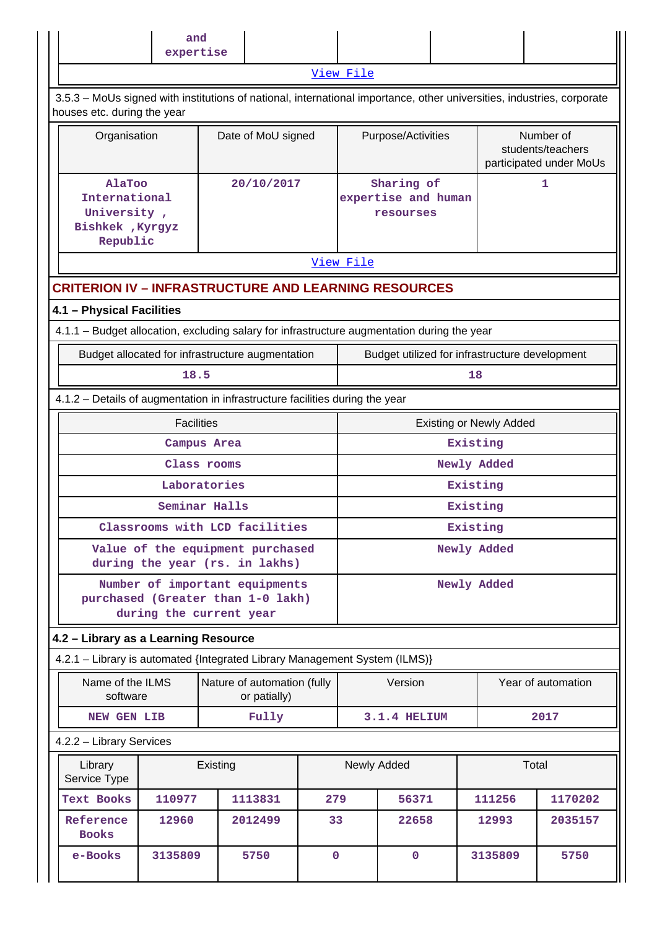|                                                                        | and               |                                                                                                                        |             |                                                     |                                                |          |                                |                                                           |
|------------------------------------------------------------------------|-------------------|------------------------------------------------------------------------------------------------------------------------|-------------|-----------------------------------------------------|------------------------------------------------|----------|--------------------------------|-----------------------------------------------------------|
|                                                                        | expertise         |                                                                                                                        |             |                                                     |                                                |          |                                |                                                           |
|                                                                        |                   |                                                                                                                        |             | View File                                           |                                                |          |                                |                                                           |
| houses etc. during the year                                            |                   | 3.5.3 - MoUs signed with institutions of national, international importance, other universities, industries, corporate |             |                                                     |                                                |          |                                |                                                           |
| Organisation                                                           |                   | Date of MoU signed                                                                                                     |             |                                                     | Purpose/Activities                             |          |                                | Number of<br>students/teachers<br>participated under MoUs |
| AlaToo<br>International<br>University,<br>Bishkek , Kyrgyz<br>Republic |                   | 20/10/2017                                                                                                             |             | Sharing of<br>1<br>expertise and human<br>resourses |                                                |          |                                |                                                           |
|                                                                        |                   |                                                                                                                        |             | View File                                           |                                                |          |                                |                                                           |
|                                                                        |                   | <b>CRITERION IV - INFRASTRUCTURE AND LEARNING RESOURCES</b>                                                            |             |                                                     |                                                |          |                                |                                                           |
| 4.1 - Physical Facilities                                              |                   |                                                                                                                        |             |                                                     |                                                |          |                                |                                                           |
|                                                                        |                   | 4.1.1 – Budget allocation, excluding salary for infrastructure augmentation during the year                            |             |                                                     |                                                |          |                                |                                                           |
|                                                                        |                   | Budget allocated for infrastructure augmentation                                                                       |             |                                                     | Budget utilized for infrastructure development |          |                                |                                                           |
|                                                                        | 18.5              |                                                                                                                        |             |                                                     |                                                | 18       |                                |                                                           |
|                                                                        |                   | 4.1.2 - Details of augmentation in infrastructure facilities during the year                                           |             |                                                     |                                                |          |                                |                                                           |
|                                                                        | <b>Facilities</b> |                                                                                                                        |             |                                                     |                                                |          | <b>Existing or Newly Added</b> |                                                           |
|                                                                        |                   | Campus Area                                                                                                            |             |                                                     |                                                | Existing |                                |                                                           |
|                                                                        |                   | Class rooms                                                                                                            |             |                                                     |                                                |          | Newly Added                    |                                                           |
|                                                                        | Laboratories      |                                                                                                                        |             |                                                     |                                                | Existing |                                |                                                           |
|                                                                        |                   | Seminar Halls                                                                                                          |             |                                                     |                                                | Existing |                                |                                                           |
|                                                                        |                   | Classrooms with LCD facilities                                                                                         |             |                                                     |                                                | Existing |                                |                                                           |
|                                                                        |                   | Value of the equipment purchased<br>during the year (rs. in lakhs)                                                     |             | Newly Added                                         |                                                |          |                                |                                                           |
|                                                                        |                   | Number of important equipments<br>purchased (Greater than 1-0 lakh)<br>during the current year                         |             | Newly Added                                         |                                                |          |                                |                                                           |
| 4.2 - Library as a Learning Resource                                   |                   |                                                                                                                        |             |                                                     |                                                |          |                                |                                                           |
|                                                                        |                   | 4.2.1 - Library is automated {Integrated Library Management System (ILMS)}                                             |             |                                                     |                                                |          |                                |                                                           |
| Name of the ILMS<br>software                                           |                   | Nature of automation (fully<br>or patially)                                                                            |             |                                                     | Version                                        |          |                                | Year of automation                                        |
| NEW GEN LIB                                                            |                   | Fully                                                                                                                  |             |                                                     | 3.1.4 HELIUM                                   |          |                                | 2017                                                      |
| 4.2.2 - Library Services                                               |                   |                                                                                                                        |             |                                                     |                                                |          |                                |                                                           |
| Library<br>Service Type                                                |                   | Existing                                                                                                               |             |                                                     | Newly Added                                    |          | Total                          |                                                           |
| Text Books                                                             | 110977            | 1113831                                                                                                                | 279         | 56371                                               |                                                |          | 111256                         | 1170202                                                   |
| Reference<br><b>Books</b>                                              | 12960             | 2012499                                                                                                                | 33          |                                                     | 22658                                          |          | 12993                          | 2035157                                                   |
| e-Books                                                                | 3135809           | 5750                                                                                                                   | $\mathbf 0$ |                                                     | $\mathbf 0$                                    |          | 3135809                        | 5750                                                      |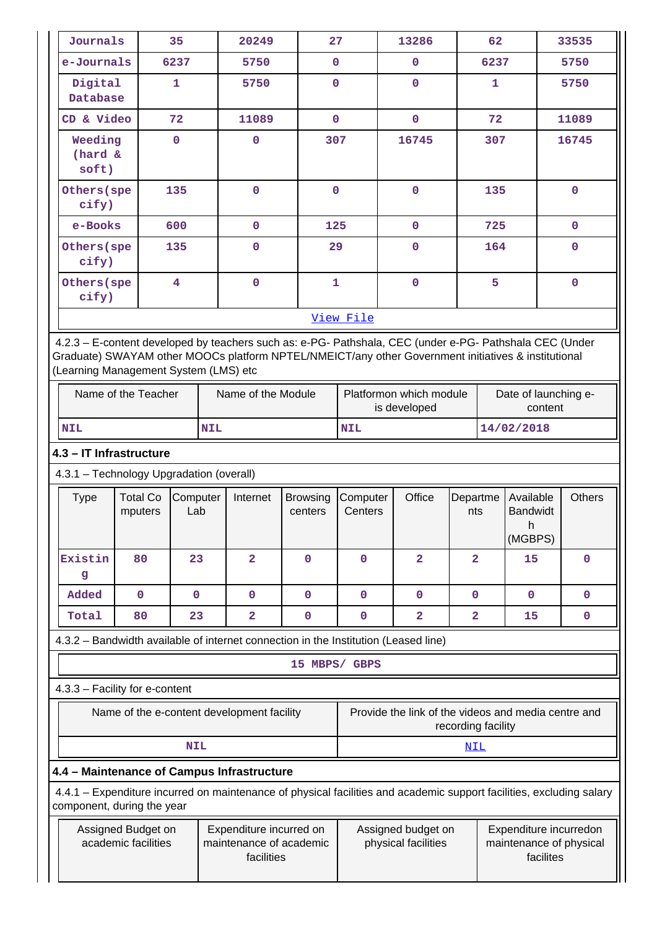|                                                                                                                                             | Journals                                                                                                                                                                                                                                                |                                           | 35                      |                                                                                                             | 20249                   |                                                                            | 27                  |                    | 13286                   |                                                     | 62   |                                               |  | 33535         |
|---------------------------------------------------------------------------------------------------------------------------------------------|---------------------------------------------------------------------------------------------------------------------------------------------------------------------------------------------------------------------------------------------------------|-------------------------------------------|-------------------------|-------------------------------------------------------------------------------------------------------------|-------------------------|----------------------------------------------------------------------------|---------------------|--------------------|-------------------------|-----------------------------------------------------|------|-----------------------------------------------|--|---------------|
|                                                                                                                                             | e-Journals                                                                                                                                                                                                                                              |                                           | 6237                    |                                                                                                             | 5750                    |                                                                            | $\mathbf 0$         |                    | $\mathbf 0$             |                                                     | 6237 |                                               |  | 5750          |
|                                                                                                                                             | Digital<br>Database                                                                                                                                                                                                                                     |                                           | 1                       |                                                                                                             | 5750                    |                                                                            | $\mathbf 0$         |                    | $\mathbf 0$             |                                                     | 1    |                                               |  | 5750          |
|                                                                                                                                             | CD & Video                                                                                                                                                                                                                                              |                                           | 72                      |                                                                                                             | 11089                   |                                                                            | $\mathbf 0$         |                    | $\mathbf 0$             |                                                     | 72   |                                               |  | 11089         |
|                                                                                                                                             | Weeding<br>(hard &<br>soft)                                                                                                                                                                                                                             |                                           | $\mathbf 0$             |                                                                                                             | 0                       |                                                                            | 307                 |                    | 16745                   |                                                     | 307  |                                               |  | 16745         |
|                                                                                                                                             | Others (spe<br>cify)                                                                                                                                                                                                                                    |                                           | 135                     |                                                                                                             | $\mathbf 0$             |                                                                            | $\mathbf 0$         |                    | $\mathbf 0$             |                                                     | 135  |                                               |  | $\mathbf 0$   |
|                                                                                                                                             | e-Books                                                                                                                                                                                                                                                 |                                           | 600                     |                                                                                                             | $\mathbf 0$             | 125                                                                        |                     |                    | $\mathbf{0}$            |                                                     | 725  |                                               |  | $\mathbf 0$   |
|                                                                                                                                             | Others (spe<br>cify)                                                                                                                                                                                                                                    |                                           | 135                     |                                                                                                             | 0                       |                                                                            | 29                  |                    | $\mathbf 0$             |                                                     | 164  |                                               |  | $\mathbf 0$   |
|                                                                                                                                             | Others (spe<br>cify)                                                                                                                                                                                                                                    |                                           | $\overline{\mathbf{4}}$ |                                                                                                             | $\mathbf 0$             |                                                                            | $\mathbf{1}$        |                    | $\mathbf 0$             |                                                     | 5    |                                               |  | $\mathbf 0$   |
|                                                                                                                                             |                                                                                                                                                                                                                                                         |                                           |                         |                                                                                                             |                         |                                                                            | View File           |                    |                         |                                                     |      |                                               |  |               |
|                                                                                                                                             | 4.2.3 - E-content developed by teachers such as: e-PG- Pathshala, CEC (under e-PG- Pathshala CEC (Under<br>Graduate) SWAYAM other MOOCs platform NPTEL/NMEICT/any other Government initiatives & institutional<br>(Learning Management System (LMS) etc |                                           |                         |                                                                                                             |                         |                                                                            |                     |                    |                         |                                                     |      |                                               |  |               |
|                                                                                                                                             |                                                                                                                                                                                                                                                         | Name of the Teacher<br>Name of the Module |                         |                                                                                                             |                         | Platformon which module<br>Date of launching e-<br>is developed<br>content |                     |                    |                         |                                                     |      |                                               |  |               |
|                                                                                                                                             | <b>NIL</b>                                                                                                                                                                                                                                              |                                           |                         | <b>NIL</b>                                                                                                  |                         |                                                                            | <b>NIL</b>          | 14/02/2018         |                         |                                                     |      |                                               |  |               |
|                                                                                                                                             | 4.3 - IT Infrastructure                                                                                                                                                                                                                                 |                                           |                         |                                                                                                             |                         |                                                                            |                     |                    |                         |                                                     |      |                                               |  |               |
|                                                                                                                                             | 4.3.1 - Technology Upgradation (overall)                                                                                                                                                                                                                |                                           |                         |                                                                                                             |                         |                                                                            |                     |                    |                         |                                                     |      |                                               |  |               |
|                                                                                                                                             | <b>Type</b>                                                                                                                                                                                                                                             | <b>Total Co</b><br>mputers                | Computer<br>Lab         |                                                                                                             | Internet                | <b>Browsing</b><br>centers                                                 | Computer<br>Centers |                    | Office                  | Departme<br>nts                                     |      | Available<br><b>Bandwidt</b><br>h.<br>(MGBPS) |  | <b>Others</b> |
|                                                                                                                                             | Existin<br>g                                                                                                                                                                                                                                            | 80                                        | 23                      |                                                                                                             | $\overline{\mathbf{2}}$ | $\mathbf{O}$                                                               | $\mathbf 0$         |                    | $\overline{\mathbf{2}}$ | $\overline{2}$                                      |      | 15                                            |  | $\mathbf 0$   |
|                                                                                                                                             | Added                                                                                                                                                                                                                                                   | $\mathbf 0$                               | $\mathbf 0$             |                                                                                                             | $\mathbf 0$             | $\mathbf 0$                                                                | $\mathbf 0$         |                    | $\mathbf 0$             | $\mathbf 0$                                         |      | $\mathbf{0}$                                  |  | $\mathbf 0$   |
|                                                                                                                                             | Total                                                                                                                                                                                                                                                   | 80                                        | 23                      |                                                                                                             | $\overline{\mathbf{2}}$ | $\mathbf 0$                                                                | $\mathbf 0$         |                    | $\overline{\mathbf{2}}$ | $\overline{\mathbf{2}}$                             |      | 15                                            |  | $\mathbf 0$   |
|                                                                                                                                             | 4.3.2 - Bandwidth available of internet connection in the Institution (Leased line)                                                                                                                                                                     |                                           |                         |                                                                                                             |                         |                                                                            |                     |                    |                         |                                                     |      |                                               |  |               |
|                                                                                                                                             |                                                                                                                                                                                                                                                         |                                           |                         |                                                                                                             |                         | 15 MBPS/ GBPS                                                              |                     |                    |                         |                                                     |      |                                               |  |               |
|                                                                                                                                             | 4.3.3 - Facility for e-content                                                                                                                                                                                                                          |                                           |                         |                                                                                                             |                         |                                                                            |                     |                    |                         |                                                     |      |                                               |  |               |
| Name of the e-content development facility                                                                                                  |                                                                                                                                                                                                                                                         |                                           |                         |                                                                                                             |                         |                                                                            |                     | recording facility |                         | Provide the link of the videos and media centre and |      |                                               |  |               |
|                                                                                                                                             |                                                                                                                                                                                                                                                         |                                           | <b>NIL</b>              |                                                                                                             |                         |                                                                            |                     |                    |                         | NIL                                                 |      |                                               |  |               |
|                                                                                                                                             | 4.4 - Maintenance of Campus Infrastructure                                                                                                                                                                                                              |                                           |                         |                                                                                                             |                         |                                                                            |                     |                    |                         |                                                     |      |                                               |  |               |
|                                                                                                                                             | 4.4.1 - Expenditure incurred on maintenance of physical facilities and academic support facilities, excluding salary                                                                                                                                    |                                           |                         |                                                                                                             |                         |                                                                            |                     |                    |                         |                                                     |      |                                               |  |               |
| component, during the year<br>Expenditure incurred on<br>Assigned Budget on<br>academic facilities<br>maintenance of academic<br>facilities |                                                                                                                                                                                                                                                         |                                           |                         | Assigned budget on<br>Expenditure incurredon<br>physical facilities<br>maintenance of physical<br>facilites |                         |                                                                            |                     |                    |                         |                                                     |      |                                               |  |               |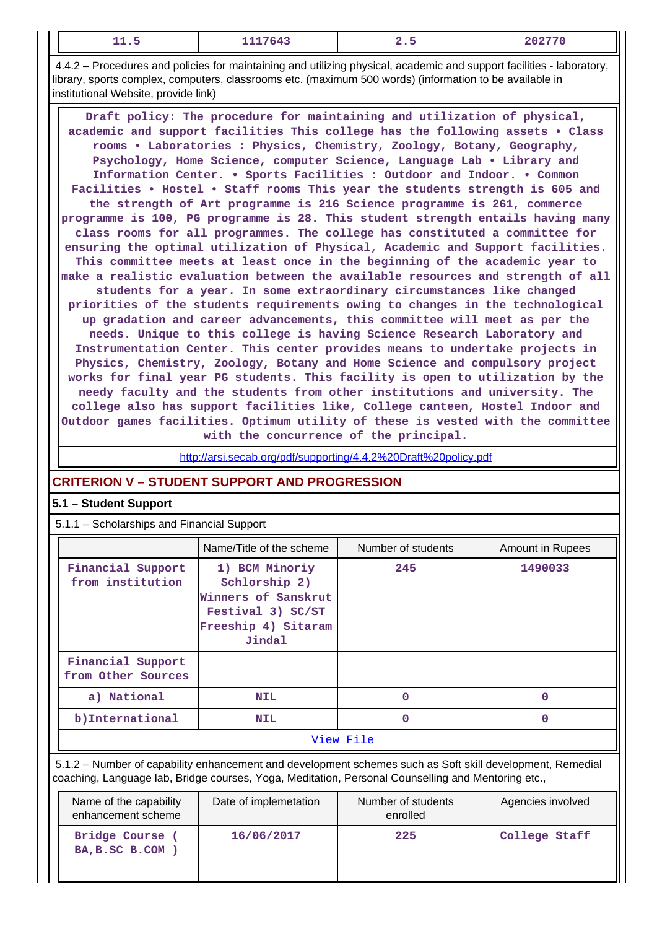| --- | 1117643 | --- | $\cdots$<br>--- |
|-----|---------|-----|-----------------|
|-----|---------|-----|-----------------|

 4.4.2 – Procedures and policies for maintaining and utilizing physical, academic and support facilities - laboratory, library, sports complex, computers, classrooms etc. (maximum 500 words) (information to be available in institutional Website, provide link)

 **Draft policy: The procedure for maintaining and utilization of physical, academic and support facilities This college has the following assets • Class rooms • Laboratories : Physics, Chemistry, Zoology, Botany, Geography, Psychology, Home Science, computer Science, Language Lab • Library and Information Center. • Sports Facilities : Outdoor and Indoor. • Common Facilities • Hostel • Staff rooms This year the students strength is 605 and the strength of Art programme is 216 Science programme is 261, commerce programme is 100, PG programme is 28. This student strength entails having many class rooms for all programmes. The college has constituted a committee for ensuring the optimal utilization of Physical, Academic and Support facilities. This committee meets at least once in the beginning of the academic year to make a realistic evaluation between the available resources and strength of all students for a year. In some extraordinary circumstances like changed priorities of the students requirements owing to changes in the technological up gradation and career advancements, this committee will meet as per the needs. Unique to this college is having Science Research Laboratory and Instrumentation Center. This center provides means to undertake projects in Physics, Chemistry, Zoology, Botany and Home Science and compulsory project works for final year PG students. This facility is open to utilization by the needy faculty and the students from other institutions and university. The college also has support facilities like, College canteen, Hostel Indoor and Outdoor games facilities. Optimum utility of these is vested with the committee with the concurrence of the principal.**

<http://arsi.secab.org/pdf/supporting/4.4.2%20Draft%20policy.pdf>

# **CRITERION V – STUDENT SUPPORT AND PROGRESSION**

# **5.1 – Student Support**

5.1.1 – Scholarships and Financial Support

|                                         | Name/Title of the scheme                                                                                     | Number of students | Amount in Rupees |  |  |
|-----------------------------------------|--------------------------------------------------------------------------------------------------------------|--------------------|------------------|--|--|
| Financial Support<br>from institution   | 1) BCM Minoriy<br>Schlorship 2)<br>Winners of Sanskrut<br>Festival 3) SC/ST<br>Freeship 4) Sitaram<br>Jindal | 245                | 1490033          |  |  |
| Financial Support<br>from Other Sources |                                                                                                              |                    |                  |  |  |
| a) National                             | <b>NIL</b>                                                                                                   | 0                  |                  |  |  |
| b) International                        | <b>NIL</b>                                                                                                   | 0                  | O                |  |  |
| View File                               |                                                                                                              |                    |                  |  |  |

 5.1.2 – Number of capability enhancement and development schemes such as Soft skill development, Remedial coaching, Language lab, Bridge courses, Yoga, Meditation, Personal Counselling and Mentoring etc.,

| Name of the capability<br>enhancement scheme | Date of implemetation | Number of students<br>enrolled | Agencies involved |
|----------------------------------------------|-----------------------|--------------------------------|-------------------|
| Bridge Course<br>BA, B.SC B.COM )            | 16/06/2017            | 225                            | College Staff     |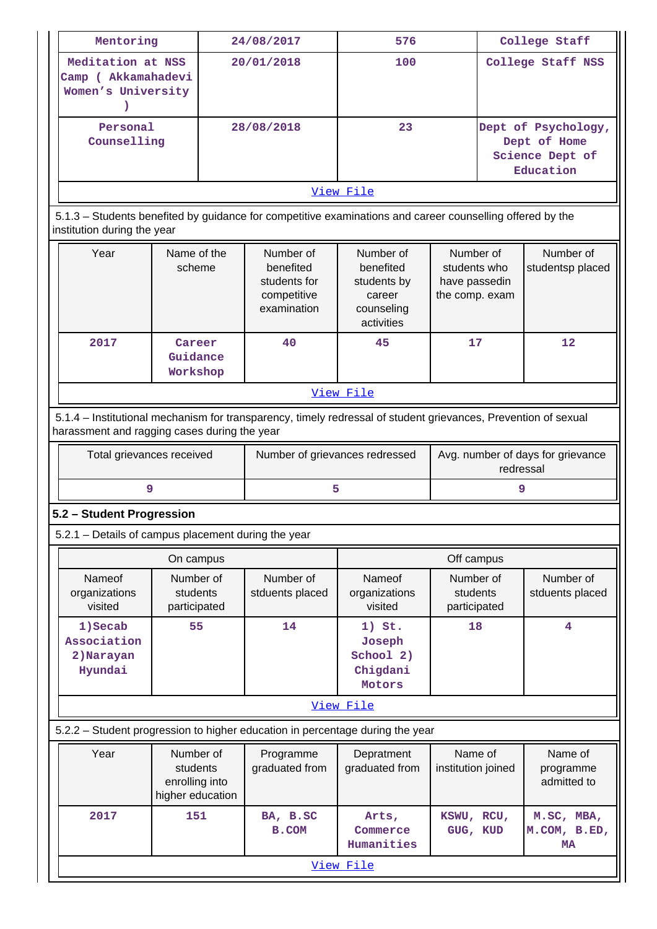| Mentoring                                                                                                                                                      |                                                             | 24/08/2017 |                                                                                                           | 576                                                                         |                                                              | College Staff                                                       |                                         |
|----------------------------------------------------------------------------------------------------------------------------------------------------------------|-------------------------------------------------------------|------------|-----------------------------------------------------------------------------------------------------------|-----------------------------------------------------------------------------|--------------------------------------------------------------|---------------------------------------------------------------------|-----------------------------------------|
| Meditation at NSS<br>Camp ( Akkamahadevi<br>Women's University                                                                                                 |                                                             |            | 20/01/2018                                                                                                | 100                                                                         |                                                              | College Staff NSS                                                   |                                         |
| Personal<br>Counselling                                                                                                                                        |                                                             |            | 28/08/2018                                                                                                | 23                                                                          |                                                              | Dept of Psychology,<br>Dept of Home<br>Science Dept of<br>Education |                                         |
|                                                                                                                                                                |                                                             |            |                                                                                                           | View File                                                                   |                                                              |                                                                     |                                         |
| institution during the year                                                                                                                                    |                                                             |            | 5.1.3 - Students benefited by guidance for competitive examinations and career counselling offered by the |                                                                             |                                                              |                                                                     |                                         |
| Year<br>Name of the<br>scheme                                                                                                                                  |                                                             |            | Number of<br>benefited<br>students for<br>competitive<br>examination                                      | Number of<br>benefited<br>students by<br>career<br>counseling<br>activities | Number of<br>students who<br>have passedin<br>the comp. exam |                                                                     | Number of<br>studentsp placed           |
| 2017                                                                                                                                                           | Career<br>Guidance<br>Workshop                              |            | 40                                                                                                        | 45                                                                          | 17                                                           |                                                                     | $12 \overline{ }$                       |
|                                                                                                                                                                |                                                             |            |                                                                                                           | View File                                                                   |                                                              |                                                                     |                                         |
| 5.1.4 – Institutional mechanism for transparency, timely redressal of student grievances, Prevention of sexual<br>harassment and ragging cases during the year |                                                             |            |                                                                                                           |                                                                             |                                                              |                                                                     |                                         |
| Total grievances received                                                                                                                                      |                                                             |            | Number of grievances redressed                                                                            | Avg. number of days for grievance<br>redressal                              |                                                              |                                                                     |                                         |
| 9                                                                                                                                                              |                                                             |            | 5                                                                                                         |                                                                             |                                                              | 9                                                                   |                                         |
| 5.2 - Student Progression                                                                                                                                      |                                                             |            |                                                                                                           |                                                                             |                                                              |                                                                     |                                         |
| 5.2.1 - Details of campus placement during the year                                                                                                            |                                                             |            |                                                                                                           |                                                                             |                                                              |                                                                     |                                         |
|                                                                                                                                                                | On campus                                                   |            |                                                                                                           | Off campus                                                                  |                                                              |                                                                     |                                         |
| Nameof<br>organizations<br>visited                                                                                                                             | Number of<br>students<br>participated                       |            | Number of<br>stduents placed                                                                              | Nameof<br>organizations<br>visited                                          | Number of<br>students<br>participated                        |                                                                     | Number of<br>stduents placed            |
| 1) Secab<br>Association<br>2) Narayan<br>Hyundai                                                                                                               |                                                             | 55<br>14   |                                                                                                           | $1)$ St.<br>Joseph<br>School 2)<br>Chigdani<br>Motors                       | 18                                                           |                                                                     | 4                                       |
|                                                                                                                                                                |                                                             |            |                                                                                                           | View File                                                                   |                                                              |                                                                     |                                         |
|                                                                                                                                                                |                                                             |            | 5.2.2 - Student progression to higher education in percentage during the year                             |                                                                             |                                                              |                                                                     |                                         |
| Year                                                                                                                                                           | Number of<br>students<br>enrolling into<br>higher education |            | Programme<br>graduated from                                                                               | Depratment<br>graduated from                                                | Name of<br>institution joined                                |                                                                     | Name of<br>programme<br>admitted to     |
| 2017                                                                                                                                                           | 151                                                         |            | BA, B.SC<br>B.COM                                                                                         | KSWU, RCU,<br>Arts,<br>GUG, KUD<br>Commerce<br>Humanities                   |                                                              |                                                                     | M.SC, MBA,<br>M.COM, B.ED,<br><b>MA</b> |
| View File                                                                                                                                                      |                                                             |            |                                                                                                           |                                                                             |                                                              |                                                                     |                                         |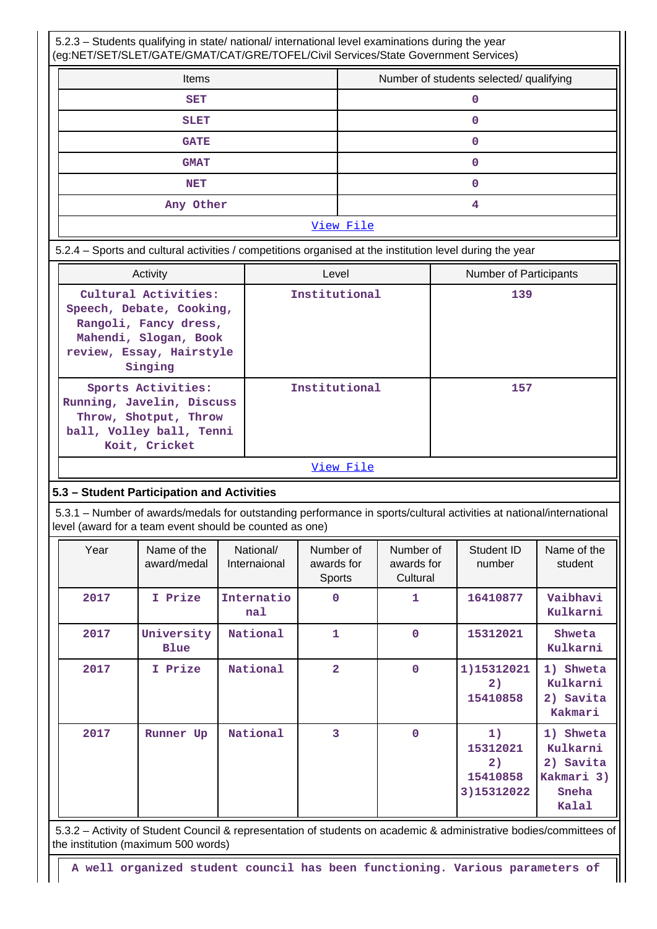5.2.3 – Students qualifying in state/ national/ international level examinations during the year (eg:NET/SET/SLET/GATE/GMAT/CAT/GRE/TOFEL/Civil Services/State Government Services)

| Items       | Number of students selected/ qualifying |  |  |  |
|-------------|-----------------------------------------|--|--|--|
| <b>SET</b>  |                                         |  |  |  |
| <b>SLET</b> |                                         |  |  |  |
| <b>GATE</b> |                                         |  |  |  |
| <b>GMAT</b> |                                         |  |  |  |
| <b>NET</b>  |                                         |  |  |  |
| Any Other   |                                         |  |  |  |
| View File   |                                         |  |  |  |

# 5.2.4 – Sports and cultural activities / competitions organised at the institution level during the year

| Activity                                                                                                                                  | Level         | <b>Number of Participants</b> |
|-------------------------------------------------------------------------------------------------------------------------------------------|---------------|-------------------------------|
| Cultural Activities:<br>Speech, Debate, Cooking,<br>Rangoli, Fancy dress,<br>Mahendi, Slogan, Book<br>review, Essay, Hairstyle<br>Singing | Institutional | 139                           |
| Sports Activities:<br>Running, Javelin, Discuss<br>Throw, Shotput, Throw<br>ball, Volley ball, Tenni<br>Koit, Cricket                     | Institutional | 157                           |

#### [View File](https://assessmentonline.naac.gov.in/public/Postacc/Activities_Organised/1775_Activities_Organised_1572368449.xlsx)

#### **5.3 – Student Participation and Activities**

 5.3.1 – Number of awards/medals for outstanding performance in sports/cultural activities at national/international level (award for a team event should be counted as one)

| Year | Name of the<br>award/medal | National/<br>Internaional | Number of<br>awards for<br>Sports | Number of<br>awards for<br>Cultural | Student ID<br>number                           | Name of the<br>student                                             |
|------|----------------------------|---------------------------|-----------------------------------|-------------------------------------|------------------------------------------------|--------------------------------------------------------------------|
| 2017 | I Prize                    | Internatio<br>na1         | $\mathbf 0$                       | 1                                   | 16410877                                       | Vaibhavi<br>Kulkarni                                               |
| 2017 | University<br><b>Blue</b>  | National                  | 1                                 | 0                                   | 15312021                                       | Shweta<br>Kulkarni                                                 |
| 2017 | I Prize                    | National                  | $\overline{2}$                    | $\mathbf 0$                         | 1)15312021<br>2)<br>15410858                   | 1) Shweta<br>Kulkarni<br>2) Savita<br>Kakmari                      |
| 2017 | Runner<br>Up               | National                  | 3                                 | $\mathbf 0$                         | 1)<br>15312021<br>2)<br>15410858<br>3)15312022 | 1) Shweta<br>Kulkarni<br>2) Savita<br>Kakmari 3)<br>Sneha<br>Kalal |

 5.3.2 – Activity of Student Council & representation of students on academic & administrative bodies/committees of the institution (maximum 500 words)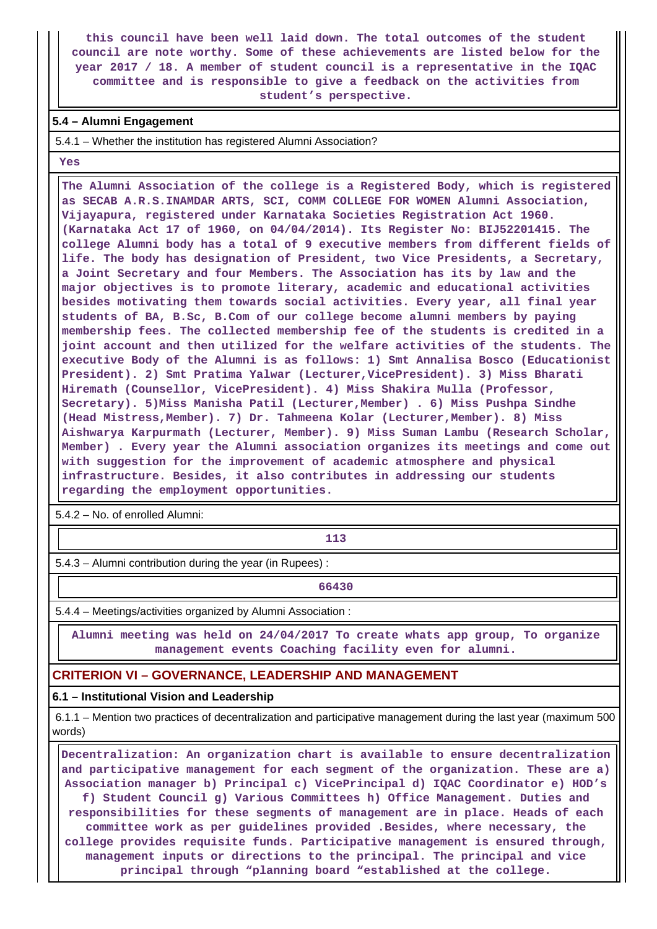**this council have been well laid down. The total outcomes of the student council are note worthy. Some of these achievements are listed below for the year 2017 / 18. A member of student council is a representative in the IQAC committee and is responsible to give a feedback on the activities from student's perspective.**

### **5.4 – Alumni Engagement**

5.4.1 – Whether the institution has registered Alumni Association?

 **Yes**

 **The Alumni Association of the college is a Registered Body, which is registered as SECAB A.R.S.INAMDAR ARTS, SCI, COMM COLLEGE FOR WOMEN Alumni Association, Vijayapura, registered under Karnataka Societies Registration Act 1960. (Karnataka Act 17 of 1960, on 04/04/2014). Its Register No: BIJ52201415. The college Alumni body has a total of 9 executive members from different fields of life. The body has designation of President, two Vice Presidents, a Secretary, a Joint Secretary and four Members. The Association has its by law and the major objectives is to promote literary, academic and educational activities besides motivating them towards social activities. Every year, all final year students of BA, B.Sc, B.Com of our college become alumni members by paying membership fees. The collected membership fee of the students is credited in a joint account and then utilized for the welfare activities of the students. The executive Body of the Alumni is as follows: 1) Smt Annalisa Bosco (Educationist President). 2) Smt Pratima Yalwar (Lecturer,VicePresident). 3) Miss Bharati Hiremath (Counsellor, VicePresident). 4) Miss Shakira Mulla (Professor, Secretary). 5)Miss Manisha Patil (Lecturer,Member) . 6) Miss Pushpa Sindhe (Head Mistress,Member). 7) Dr. Tahmeena Kolar (Lecturer,Member). 8) Miss Aishwarya Karpurmath (Lecturer, Member). 9) Miss Suman Lambu (Research Scholar, Member) . Every year the Alumni association organizes its meetings and come out with suggestion for the improvement of academic atmosphere and physical infrastructure. Besides, it also contributes in addressing our students regarding the employment opportunities.**

5.4.2 – No. of enrolled Alumni:

**113** 

5.4.3 – Alumni contribution during the year (in Rupees) :

**66430** 

5.4.4 – Meetings/activities organized by Alumni Association :

 **Alumni meeting was held on 24/04/2017 To create whats app group, To organize management events Coaching facility even for alumni.**

# **CRITERION VI – GOVERNANCE, LEADERSHIP AND MANAGEMENT**

#### **6.1 – Institutional Vision and Leadership**

 6.1.1 – Mention two practices of decentralization and participative management during the last year (maximum 500 words)

 **Decentralization: An organization chart is available to ensure decentralization and participative management for each segment of the organization. These are a) Association manager b) Principal c) VicePrincipal d) IQAC Coordinator e) HOD's f) Student Council g) Various Committees h) Office Management. Duties and responsibilities for these segments of management are in place. Heads of each committee work as per guidelines provided .Besides, where necessary, the college provides requisite funds. Participative management is ensured through, management inputs or directions to the principal. The principal and vice principal through "planning board "established at the college.**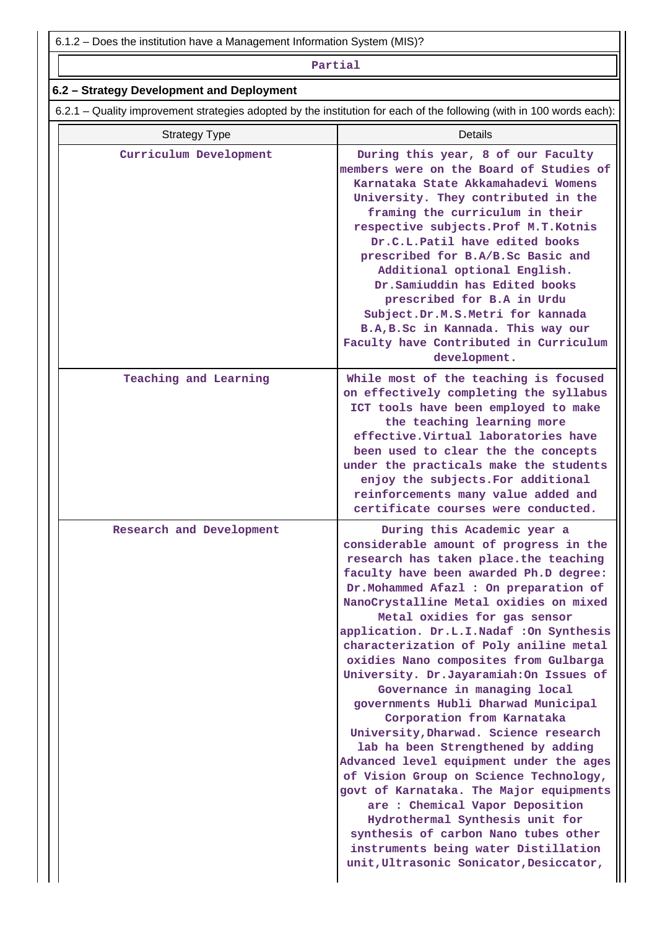6.1.2 – Does the institution have a Management Information System (MIS)?

#### **Partial**

# **6.2 – Strategy Development and Deployment**

6.2.1 – Quality improvement strategies adopted by the institution for each of the following (with in 100 words each):

| <b>Strategy Type</b>     | Details                                                                                                                                                                                                                                                                                                                                                                                                                                                                                                                                                                                                                                                                                                                                                                                                                                                                                                                                                                     |
|--------------------------|-----------------------------------------------------------------------------------------------------------------------------------------------------------------------------------------------------------------------------------------------------------------------------------------------------------------------------------------------------------------------------------------------------------------------------------------------------------------------------------------------------------------------------------------------------------------------------------------------------------------------------------------------------------------------------------------------------------------------------------------------------------------------------------------------------------------------------------------------------------------------------------------------------------------------------------------------------------------------------|
| Curriculum Development   | During this year, 8 of our Faculty<br>members were on the Board of Studies of<br>Karnataka State Akkamahadevi Womens<br>University. They contributed in the<br>framing the curriculum in their<br>respective subjects. Prof M.T. Kotnis<br>Dr.C.L.Patil have edited books<br>prescribed for B.A/B.Sc Basic and<br>Additional optional English.<br>Dr. Samiuddin has Edited books<br>prescribed for B.A in Urdu<br>Subject.Dr.M.S.Metri for kannada<br>B.A, B.Sc in Kannada. This way our<br>Faculty have Contributed in Curriculum<br>development.                                                                                                                                                                                                                                                                                                                                                                                                                          |
| Teaching and Learning    | While most of the teaching is focused<br>on effectively completing the syllabus<br>ICT tools have been employed to make<br>the teaching learning more<br>effective. Virtual laboratories have<br>been used to clear the the concepts<br>under the practicals make the students<br>enjoy the subjects. For additional<br>reinforcements many value added and<br>certificate courses were conducted.                                                                                                                                                                                                                                                                                                                                                                                                                                                                                                                                                                          |
| Research and Development | During this Academic year a<br>considerable amount of progress in the<br>research has taken place.the teaching<br>faculty have been awarded Ph.D degree:<br>Dr. Mohammed Afazl : On preparation of<br>NanoCrystalline Metal oxidies on mixed<br>Metal oxidies for gas sensor<br>application. Dr.L.I.Nadaf : On Synthesis<br>characterization of Poly aniline metal<br>oxidies Nano composites from Gulbarga<br>University. Dr.Jayaramiah: On Issues of<br>Governance in managing local<br>governments Hubli Dharwad Municipal<br>Corporation from Karnataka<br>University, Dharwad. Science research<br>lab ha been Strengthened by adding<br>Advanced level equipment under the ages<br>of Vision Group on Science Technology,<br>govt of Karnataka. The Major equipments<br>are : Chemical Vapor Deposition<br>Hydrothermal Synthesis unit for<br>synthesis of carbon Nano tubes other<br>instruments being water Distillation<br>unit, Ultrasonic Sonicator, Desiccator, |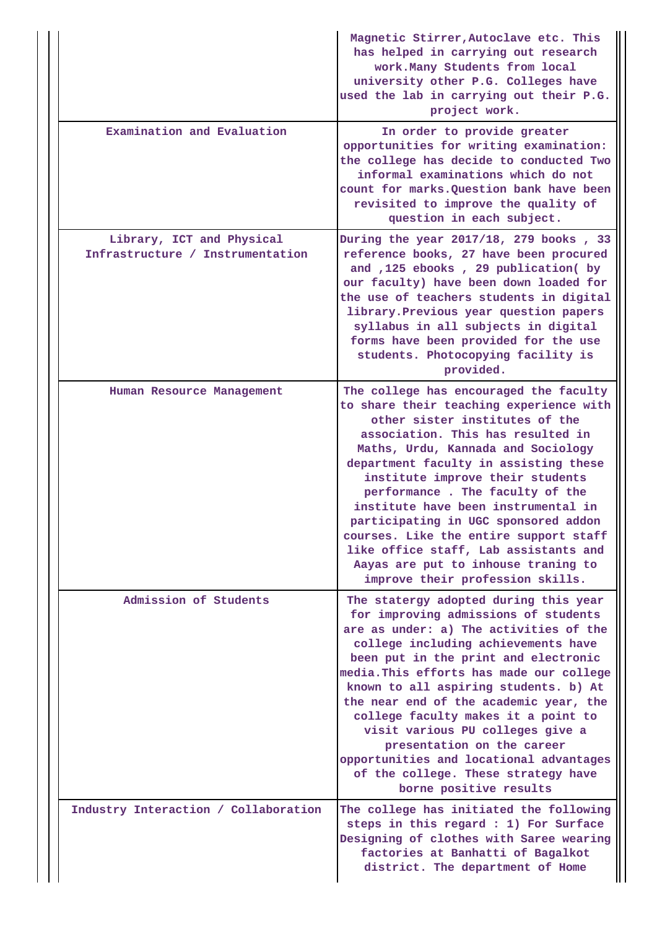|                                                               | Magnetic Stirrer, Autoclave etc. This<br>has helped in carrying out research<br>work. Many Students from local<br>university other P.G. Colleges have<br>used the lab in carrying out their P.G.<br>project work.                                                                                                                                                                                                                                                                                                                                           |
|---------------------------------------------------------------|-------------------------------------------------------------------------------------------------------------------------------------------------------------------------------------------------------------------------------------------------------------------------------------------------------------------------------------------------------------------------------------------------------------------------------------------------------------------------------------------------------------------------------------------------------------|
| Examination and Evaluation                                    | In order to provide greater<br>opportunities for writing examination:<br>the college has decide to conducted Two<br>informal examinations which do not<br>count for marks. Question bank have been<br>revisited to improve the quality of<br>question in each subject.                                                                                                                                                                                                                                                                                      |
| Library, ICT and Physical<br>Infrastructure / Instrumentation | During the year 2017/18, 279 books, 33<br>reference books, 27 have been procured<br>and ,125 ebooks , 29 publication( by<br>our faculty) have been down loaded for<br>the use of teachers students in digital<br>library. Previous year question papers<br>syllabus in all subjects in digital<br>forms have been provided for the use<br>students. Photocopying facility is<br>provided.                                                                                                                                                                   |
| Human Resource Management                                     | The college has encouraged the faculty<br>to share their teaching experience with<br>other sister institutes of the<br>association. This has resulted in<br>Maths, Urdu, Kannada and Sociology<br>department faculty in assisting these<br>institute improve their students<br>performance. The faculty of the<br>institute have been instrumental in<br>participating in UGC sponsored addon<br>courses. Like the entire support staff<br>like office staff, Lab assistants and<br>Aayas are put to inhouse traning to<br>improve their profession skills. |
| Admission of Students                                         | The statergy adopted during this year<br>for improving admissions of students<br>are as under: a) The activities of the<br>college including achievements have<br>been put in the print and electronic<br>media. This efforts has made our college<br>known to all aspiring students. b) At<br>the near end of the academic year, the<br>college faculty makes it a point to<br>visit various PU colleges give a<br>presentation on the career<br>opportunities and locational advantages<br>of the college. These strategy have<br>borne positive results  |
| Industry Interaction / Collaboration                          | The college has initiated the following<br>steps in this regard : 1) For Surface<br>Designing of clothes with Saree wearing<br>factories at Banhatti of Bagalkot<br>district. The department of Home                                                                                                                                                                                                                                                                                                                                                        |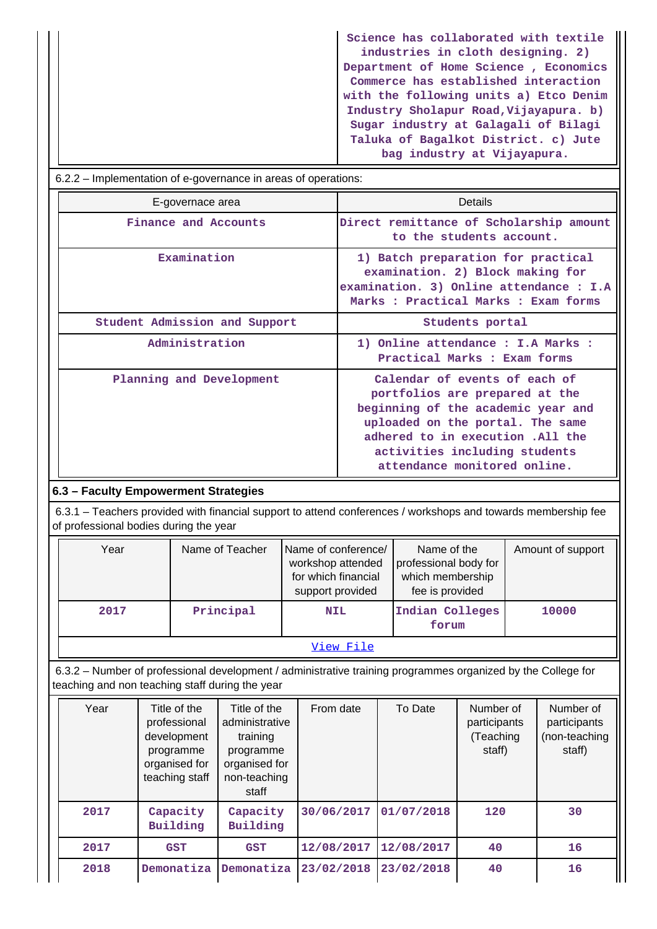**Science has collaborated with textile industries in cloth designing. 2) Department of Home Science , Economics Commerce has established interaction with the following units a) Etco Denim Industry Sholapur Road,Vijayapura. b) Sugar industry at Galagali of Bilagi Taluka of Bagalkot District. c) Jute bag industry at Vijayapura.**

| 6.2.2 – Implementation of e-governance in areas of operations: |                                                                                                                                                                                                                                                |
|----------------------------------------------------------------|------------------------------------------------------------------------------------------------------------------------------------------------------------------------------------------------------------------------------------------------|
| E-governace area                                               | Details                                                                                                                                                                                                                                        |
| Finance and Accounts                                           | Direct remittance of Scholarship amount<br>to the students account.                                                                                                                                                                            |
| Examination                                                    | 1) Batch preparation for practical<br>examination. 2) Block making for<br>examination. 3) Online attendance : I.A<br>Marks : Practical Marks : Exam forms                                                                                      |
| Student Admission and Support                                  | Students portal                                                                                                                                                                                                                                |
| Administration                                                 | 1) Online attendance : I.A Marks :<br>Practical Marks : Exam forms                                                                                                                                                                             |
| Planning and Development                                       | Calendar of events of each of<br>portfolios are prepared at the<br>beginning of the academic year and<br>uploaded on the portal. The same<br>adhered to in execution .All the<br>activities including students<br>attendance monitored online. |
| 6.3 - Faculty Empowerment Strategies                           |                                                                                                                                                                                                                                                |

 6.3.1 – Teachers provided with financial support to attend conferences / workshops and towards membership fee of professional bodies during the year

| Year | Name of Teacher | Name of conference/<br>workshop attended<br>for which financial<br>support provided | Name of the<br>professional body for<br>which membership<br>fee is provided | Amount of support |
|------|-----------------|-------------------------------------------------------------------------------------|-----------------------------------------------------------------------------|-------------------|
| 2017 | Principal       | <b>NIL</b>                                                                          | Indian Colleges<br>forum                                                    | 10000             |
|      |                 | View File                                                                           |                                                                             |                   |

 6.3.2 – Number of professional development / administrative training programmes organized by the College for teaching and non teaching staff during the year

| Year | Title of the<br>professional<br>development<br>programme<br>organised for<br>teaching staff | Title of the<br>administrative<br>training<br>programme<br>organised for<br>non-teaching<br>staff | From date  | To Date    | Number of<br>participants<br>(Teaching<br>staff) | Number of<br>participants<br>(non-teaching<br>staff) |
|------|---------------------------------------------------------------------------------------------|---------------------------------------------------------------------------------------------------|------------|------------|--------------------------------------------------|------------------------------------------------------|
| 2017 | Capacity<br>Building                                                                        | Capacity<br>Building                                                                              | 30/06/2017 | 01/07/2018 | 120                                              | 30                                                   |
| 2017 | <b>GST</b>                                                                                  | <b>GST</b>                                                                                        | 12/08/2017 | 12/08/2017 | 40                                               | 16                                                   |
| 2018 | Demonatiza                                                                                  | Demonatiza                                                                                        | 23/02/2018 | 23/02/2018 | 40                                               | 16                                                   |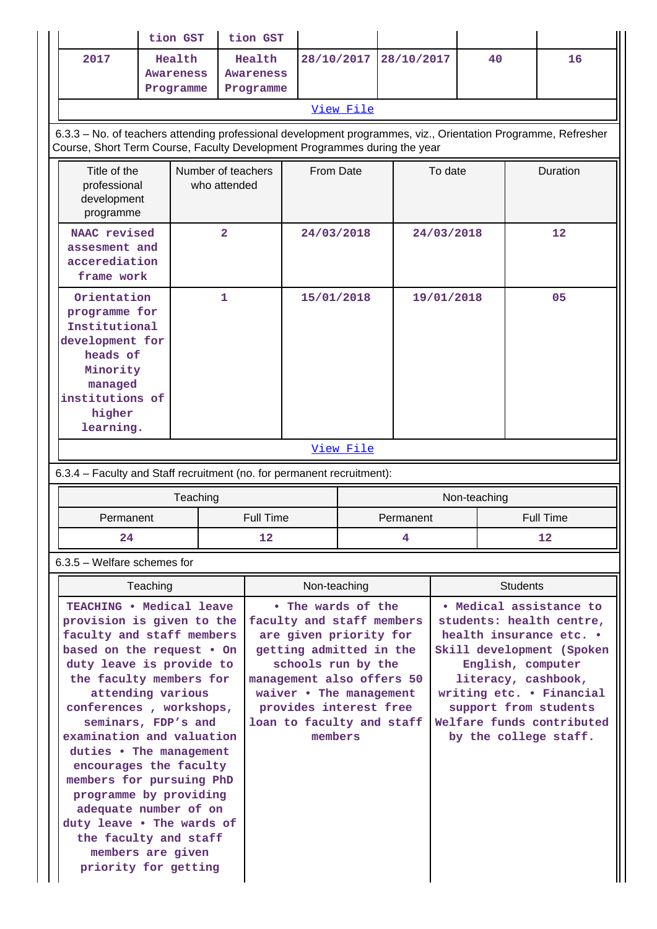|                                                                                                                                                                                                                                                                                                                                                                                                                                                                                                                   |                                                                                                                                                                                            | tion GST                                | tion GST       |                                                                                                                                                                                                                                                      |              |            |                                                                                                                                                                                                                                                                    |            |              |                 |                  |
|-------------------------------------------------------------------------------------------------------------------------------------------------------------------------------------------------------------------------------------------------------------------------------------------------------------------------------------------------------------------------------------------------------------------------------------------------------------------------------------------------------------------|--------------------------------------------------------------------------------------------------------------------------------------------------------------------------------------------|-----------------------------------------|----------------|------------------------------------------------------------------------------------------------------------------------------------------------------------------------------------------------------------------------------------------------------|--------------|------------|--------------------------------------------------------------------------------------------------------------------------------------------------------------------------------------------------------------------------------------------------------------------|------------|--------------|-----------------|------------------|
|                                                                                                                                                                                                                                                                                                                                                                                                                                                                                                                   | 2017                                                                                                                                                                                       | Health<br><b>Awareness</b><br>Programme |                | Health<br><b>Awareness</b><br>Programme                                                                                                                                                                                                              |              | 28/10/2017 |                                                                                                                                                                                                                                                                    | 28/10/2017 | 40           |                 | 16               |
|                                                                                                                                                                                                                                                                                                                                                                                                                                                                                                                   |                                                                                                                                                                                            |                                         |                |                                                                                                                                                                                                                                                      |              | View File  |                                                                                                                                                                                                                                                                    |            |              |                 |                  |
|                                                                                                                                                                                                                                                                                                                                                                                                                                                                                                                   | 6.3.3 - No. of teachers attending professional development programmes, viz., Orientation Programme, Refresher<br>Course, Short Term Course, Faculty Development Programmes during the year |                                         |                |                                                                                                                                                                                                                                                      |              |            |                                                                                                                                                                                                                                                                    |            |              |                 |                  |
|                                                                                                                                                                                                                                                                                                                                                                                                                                                                                                                   | Title of the<br>Number of teachers<br>who attended<br>professional<br>development<br>programme                                                                                             |                                         |                | From Date                                                                                                                                                                                                                                            |              |            |                                                                                                                                                                                                                                                                    |            | To date      |                 | Duration         |
|                                                                                                                                                                                                                                                                                                                                                                                                                                                                                                                   | NAAC revised<br>assesment and<br>accerediation<br>frame work                                                                                                                               |                                         | $\overline{2}$ |                                                                                                                                                                                                                                                      | 24/03/2018   |            | 24/03/2018                                                                                                                                                                                                                                                         |            | 12           |                 |                  |
|                                                                                                                                                                                                                                                                                                                                                                                                                                                                                                                   | $\mathbf{1}$<br>Orientation<br>programme for<br>Institutional<br>development for<br>heads of<br>Minority<br>managed<br>institutions of<br>higher<br>learning.                              |                                         |                | 15/01/2018                                                                                                                                                                                                                                           |              |            | 19/01/2018                                                                                                                                                                                                                                                         |            | 05           |                 |                  |
|                                                                                                                                                                                                                                                                                                                                                                                                                                                                                                                   |                                                                                                                                                                                            |                                         |                |                                                                                                                                                                                                                                                      |              | View File  |                                                                                                                                                                                                                                                                    |            |              |                 |                  |
|                                                                                                                                                                                                                                                                                                                                                                                                                                                                                                                   | 6.3.4 - Faculty and Staff recruitment (no. for permanent recruitment):                                                                                                                     |                                         |                |                                                                                                                                                                                                                                                      |              |            |                                                                                                                                                                                                                                                                    |            |              |                 |                  |
|                                                                                                                                                                                                                                                                                                                                                                                                                                                                                                                   |                                                                                                                                                                                            |                                         | Teaching       |                                                                                                                                                                                                                                                      |              |            |                                                                                                                                                                                                                                                                    |            | Non-teaching |                 |                  |
|                                                                                                                                                                                                                                                                                                                                                                                                                                                                                                                   | Permanent                                                                                                                                                                                  |                                         |                | <b>Full Time</b>                                                                                                                                                                                                                                     |              |            | Permanent                                                                                                                                                                                                                                                          |            |              |                 | <b>Full Time</b> |
|                                                                                                                                                                                                                                                                                                                                                                                                                                                                                                                   | 24                                                                                                                                                                                         |                                         |                | 12<br>4                                                                                                                                                                                                                                              |              |            | 12                                                                                                                                                                                                                                                                 |            |              |                 |                  |
|                                                                                                                                                                                                                                                                                                                                                                                                                                                                                                                   | $6.3.5$ – Welfare schemes for                                                                                                                                                              |                                         |                |                                                                                                                                                                                                                                                      |              |            |                                                                                                                                                                                                                                                                    |            |              |                 |                  |
|                                                                                                                                                                                                                                                                                                                                                                                                                                                                                                                   |                                                                                                                                                                                            | Teaching                                |                |                                                                                                                                                                                                                                                      | Non-teaching |            |                                                                                                                                                                                                                                                                    |            |              | <b>Students</b> |                  |
| TEACHING . Medical leave<br>provision is given to the<br>faculty and staff members<br>based on the request . On<br>duty leave is provide to<br>the faculty members for<br>attending various<br>conferences, workshops,<br>seminars, FDP's and<br>examination and valuation<br>duties . The management<br>encourages the faculty<br>members for pursuing PhD<br>programme by providing<br>adequate number of on<br>duty leave . The wards of<br>the faculty and staff<br>members are given<br>priority for getting |                                                                                                                                                                                            |                                         |                | • The wards of the<br>faculty and staff members<br>are given priority for<br>getting admitted in the<br>schools run by the<br>management also offers 50<br>waiver • The management<br>provides interest free<br>loan to faculty and staff<br>members |              |            | • Medical assistance to<br>students: health centre,<br>health insurance etc. .<br>Skill development (Spoken<br>English, computer<br>literacy, cashbook,<br>writing etc. . Financial<br>support from students<br>Welfare funds contributed<br>by the college staff. |            |              |                 |                  |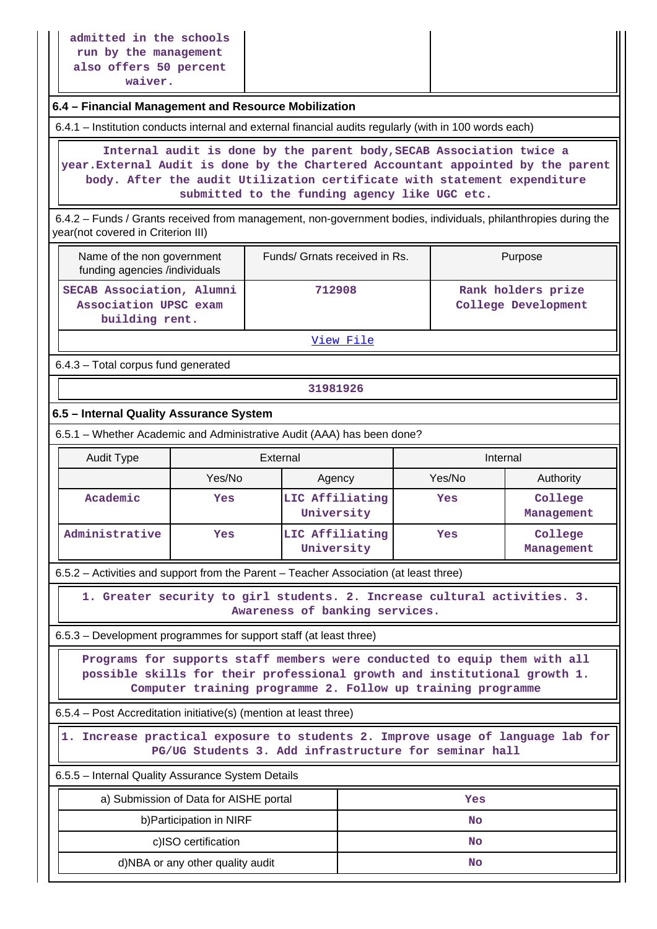# **6.4 – Financial Management and Resource Mobilization**

6.4.1 – Institution conducts internal and external financial audits regularly (with in 100 words each)

 **Internal audit is done by the parent body,SECAB Association twice a year.External Audit is done by the Chartered Accountant appointed by the parent body. After the audit Utilization certificate with statement expenditure submitted to the funding agency like UGC etc.**

 6.4.2 – Funds / Grants received from management, non-government bodies, individuals, philanthropies during the year(not covered in Criterion III)

| Name of the non government<br>funding agencies /individuals          | Funds/ Grnats received in Rs. | Purpose                                   |
|----------------------------------------------------------------------|-------------------------------|-------------------------------------------|
| SECAB Association, Alumni<br>Association UPSC exam<br>building rent. | 712908                        | Rank holders prize<br>College Development |

[View File](https://assessmentonline.naac.gov.in/public/Postacc/Funds_or_Grants/1775_Funds_or_Grants_1572505448.xlsx)

6.4.3 – Total corpus fund generated

**31981926**

# **6.5 – Internal Quality Assurance System**

6.5.1 – Whether Academic and Administrative Audit (AAA) has been done?

| Audit Type     | External |                               | Internal |                       |  |  |
|----------------|----------|-------------------------------|----------|-----------------------|--|--|
|                | Yes/No   | Agency                        | Yes/No   | Authority             |  |  |
| Academic       | Yes      | LIC Affiliating<br>University | Yes      | College<br>Management |  |  |
| Administrative | Yes      | LIC Affiliating<br>University | Yes      | College<br>Management |  |  |

6.5.2 – Activities and support from the Parent – Teacher Association (at least three)

 **1. Greater security to girl students. 2. Increase cultural activities. 3. Awareness of banking services.**

6.5.3 – Development programmes for support staff (at least three)

 **Programs for supports staff members were conducted to equip them with all possible skills for their professional growth and institutional growth 1. Computer training programme 2. Follow up training programme**

6.5.4 – Post Accreditation initiative(s) (mention at least three)

 **1. Increase practical exposure to students 2. Improve usage of language lab for PG/UG Students 3. Add infrastructure for seminar hall**

6.5.5 – Internal Quality Assurance System Details

| a) Submission of Data for AISHE portal | Yes |
|----------------------------------------|-----|
| b) Participation in NIRF               | No  |
| c)ISO certification                    | No  |
| d)NBA or any other quality audit       | No  |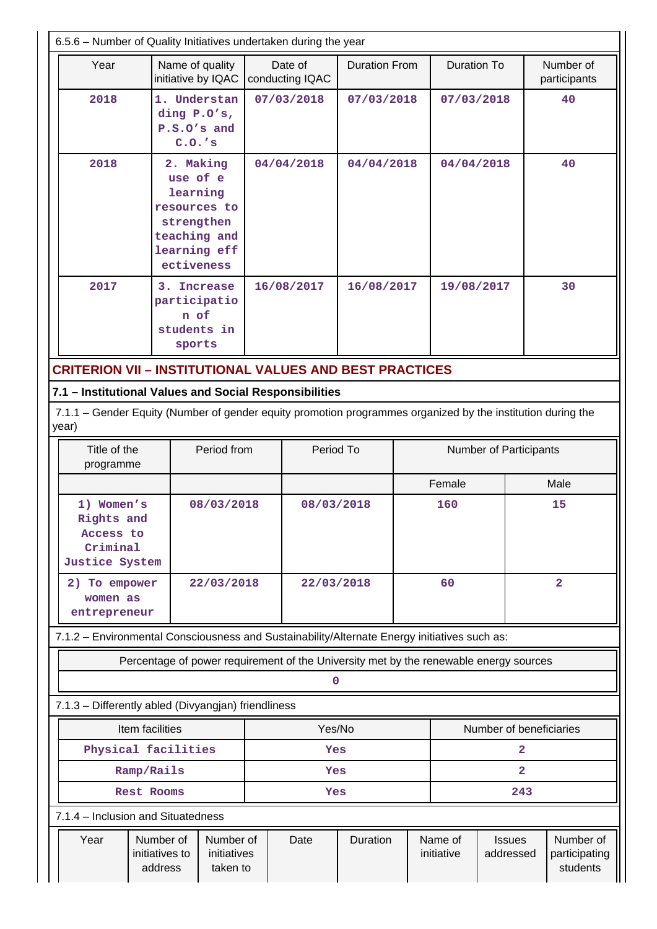| 6.5.6 - Number of Quality Initiatives undertaken during the year                                                     |                                        |                                   |                                                                          |           |                            |                                                                                       |                        |                       |                            |            |                                        |  |    |
|----------------------------------------------------------------------------------------------------------------------|----------------------------------------|-----------------------------------|--------------------------------------------------------------------------|-----------|----------------------------|---------------------------------------------------------------------------------------|------------------------|-----------------------|----------------------------|------------|----------------------------------------|--|----|
| Year                                                                                                                 |                                        |                                   | Name of quality<br>initiative by IQAC                                    |           | Date of<br>conducting IQAC | <b>Duration From</b>                                                                  |                        | <b>Duration To</b>    |                            |            | Number of<br>participants              |  |    |
| 2018                                                                                                                 |                                        | $C.0.$ 's                         | 1. Understan<br>ding P.O's,<br>P.S.O's and                               |           | 07/03/2018                 | 07/03/2018                                                                            |                        |                       |                            | 07/03/2018 |                                        |  | 40 |
| 2018                                                                                                                 |                                        | 2. Making<br>use of e<br>learning | resources to<br>strengthen<br>teaching and<br>learning eff<br>ectiveness |           | 04/04/2018                 | 04/04/2018                                                                            |                        | 04/04/2018            |                            |            | 40                                     |  |    |
| 2017                                                                                                                 |                                        | n of<br>sports                    | 3. Increase<br>participatio<br>students in                               |           | 16/08/2017                 | 16/08/2017                                                                            |                        |                       | 19/08/2017<br>30           |            |                                        |  |    |
| <b>CRITERION VII - INSTITUTIONAL VALUES AND BEST PRACTICES</b>                                                       |                                        |                                   |                                                                          |           |                            |                                                                                       |                        |                       |                            |            |                                        |  |    |
| 7.1 - Institutional Values and Social Responsibilities                                                               |                                        |                                   |                                                                          |           |                            |                                                                                       |                        |                       |                            |            |                                        |  |    |
| 7.1.1 – Gender Equity (Number of gender equity promotion programmes organized by the institution during the<br>year) |                                        |                                   |                                                                          |           |                            |                                                                                       |                        |                       |                            |            |                                        |  |    |
| Title of the<br>programme                                                                                            |                                        |                                   | Period from                                                              | Period To |                            |                                                                                       | Number of Participants |                       |                            |            |                                        |  |    |
|                                                                                                                      |                                        |                                   |                                                                          |           |                            |                                                                                       | Female                 |                       | Male                       |            |                                        |  |    |
| 1) Women's<br>Rights and<br>Access to<br>Criminal<br>Justice System                                                  |                                        |                                   | 08/03/2018                                                               |           | 08/03/2018                 |                                                                                       |                        | 160                   |                            |            | 15                                     |  |    |
| 2) To empower<br>women as<br>entrepreneur                                                                            |                                        |                                   | 22/03/2018                                                               |           | 22/03/2018                 |                                                                                       |                        | 60                    |                            |            | $\overline{a}$                         |  |    |
| 7.1.2 - Environmental Consciousness and Sustainability/Alternate Energy initiatives such as:                         |                                        |                                   |                                                                          |           |                            |                                                                                       |                        |                       |                            |            |                                        |  |    |
|                                                                                                                      |                                        |                                   |                                                                          |           |                            | Percentage of power requirement of the University met by the renewable energy sources |                        |                       |                            |            |                                        |  |    |
|                                                                                                                      |                                        |                                   |                                                                          |           | 0                          |                                                                                       |                        |                       |                            |            |                                        |  |    |
| 7.1.3 - Differently abled (Divyangjan) friendliness                                                                  |                                        |                                   |                                                                          |           |                            |                                                                                       |                        |                       |                            |            |                                        |  |    |
|                                                                                                                      | Item facilities                        |                                   |                                                                          |           | Yes/No                     |                                                                                       |                        |                       | Number of beneficiaries    |            |                                        |  |    |
| Physical facilities                                                                                                  |                                        |                                   |                                                                          |           | Yes                        |                                                                                       |                        |                       | $\overline{2}$             |            |                                        |  |    |
|                                                                                                                      | Ramp/Rails                             |                                   |                                                                          |           | Yes                        |                                                                                       |                        |                       | $\overline{2}$             |            |                                        |  |    |
|                                                                                                                      | Rest Rooms                             |                                   |                                                                          |           | Yes                        |                                                                                       |                        |                       | 243                        |            |                                        |  |    |
| 7.1.4 - Inclusion and Situatedness                                                                                   |                                        |                                   |                                                                          |           |                            |                                                                                       |                        |                       |                            |            |                                        |  |    |
| Year                                                                                                                 | Number of<br>initiatives to<br>address |                                   | Number of<br>initiatives<br>taken to                                     |           | Date                       | Duration                                                                              |                        | Name of<br>initiative | <b>Issues</b><br>addressed |            | Number of<br>participating<br>students |  |    |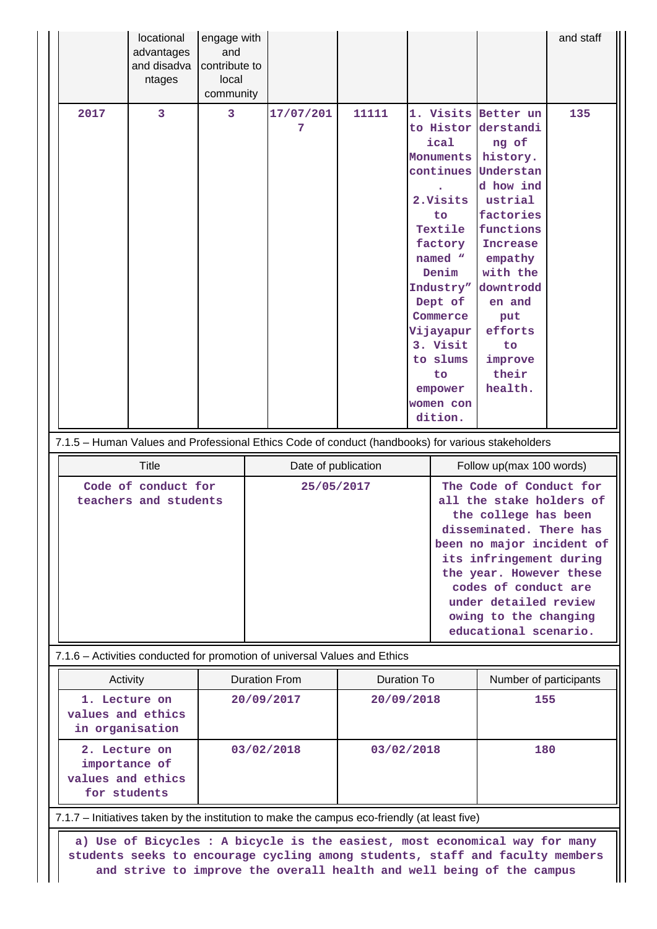|                                                                                                           | locational<br>advantages<br>and disadva<br>ntages               | engage with<br>and<br>contribute to<br>local<br>community |  |                          |                                  |                                                                                                                                                                                                                                                            |                                                                                                                                                                                                                                       | and staff                                                                                                                                                                                                                                                                                    |
|-----------------------------------------------------------------------------------------------------------|-----------------------------------------------------------------|-----------------------------------------------------------|--|--------------------------|----------------------------------|------------------------------------------------------------------------------------------------------------------------------------------------------------------------------------------------------------------------------------------------------------|---------------------------------------------------------------------------------------------------------------------------------------------------------------------------------------------------------------------------------------|----------------------------------------------------------------------------------------------------------------------------------------------------------------------------------------------------------------------------------------------------------------------------------------------|
| 2017<br>7.1.5 - Human Values and Professional Ethics Code of conduct (handbooks) for various stakeholders | 3                                                               | 3                                                         |  | 17/07/201<br>7           | 11111                            | 1. Visits Better un<br>to Histor<br>ical<br>Monuments history.<br>continues<br>2. Visits<br>to<br>Textile<br>factory<br>named "<br>Denim<br>Industry"<br>Dept of<br>Commerce<br>Vijayapur<br>3. Visit<br>to slums<br>to<br>empower<br>women con<br>dition. | derstandi<br>ng of<br>Understan<br>d how ind<br>ustrial<br>factories<br>functions<br><b>Increase</b><br>empathy<br>with the<br>downtrodd<br>en and<br>put<br>efforts<br>to<br>improve<br>their<br>health.                             | 135                                                                                                                                                                                                                                                                                          |
|                                                                                                           | <b>Title</b>                                                    |                                                           |  | Date of publication      |                                  |                                                                                                                                                                                                                                                            | Follow up(max 100 words)                                                                                                                                                                                                              |                                                                                                                                                                                                                                                                                              |
|                                                                                                           | Code of conduct for<br>teachers and students                    |                                                           |  |                          | 25/05/2017                       |                                                                                                                                                                                                                                                            |                                                                                                                                                                                                                                       | The Code of Conduct for<br>all the stake holders of<br>the college has been<br>disseminated. There has<br>been no major incident of<br>its infringement during<br>the year. However these<br>codes of conduct are<br>under detailed review<br>owing to the changing<br>educational scenario. |
| 7.1.6 – Activities conducted for promotion of universal Values and Ethics                                 |                                                                 |                                                           |  |                          |                                  |                                                                                                                                                                                                                                                            |                                                                                                                                                                                                                                       |                                                                                                                                                                                                                                                                                              |
|                                                                                                           | <b>Duration From</b><br>Activity<br>1. Lecture on<br>20/09/2017 |                                                           |  |                          | <b>Duration To</b><br>20/09/2018 |                                                                                                                                                                                                                                                            | Number of participants<br>155                                                                                                                                                                                                         |                                                                                                                                                                                                                                                                                              |
| values and ethics<br>in organisation                                                                      |                                                                 |                                                           |  |                          |                                  |                                                                                                                                                                                                                                                            |                                                                                                                                                                                                                                       |                                                                                                                                                                                                                                                                                              |
| 2. Lecture on<br>importance of<br>values and ethics<br>for students                                       |                                                                 |                                                           |  | 03/02/2018<br>03/02/2018 |                                  |                                                                                                                                                                                                                                                            | 180                                                                                                                                                                                                                                   |                                                                                                                                                                                                                                                                                              |
| 7.1.7 – Initiatives taken by the institution to make the campus eco-friendly (at least five)              |                                                                 |                                                           |  |                          |                                  |                                                                                                                                                                                                                                                            |                                                                                                                                                                                                                                       |                                                                                                                                                                                                                                                                                              |
|                                                                                                           |                                                                 |                                                           |  |                          |                                  |                                                                                                                                                                                                                                                            | a) Use of Bicycles : A bicycle is the easiest, most economical way for many<br>students seeks to encourage cycling among students, staff and faculty members<br>and strive to improve the overall health and well being of the campus |                                                                                                                                                                                                                                                                                              |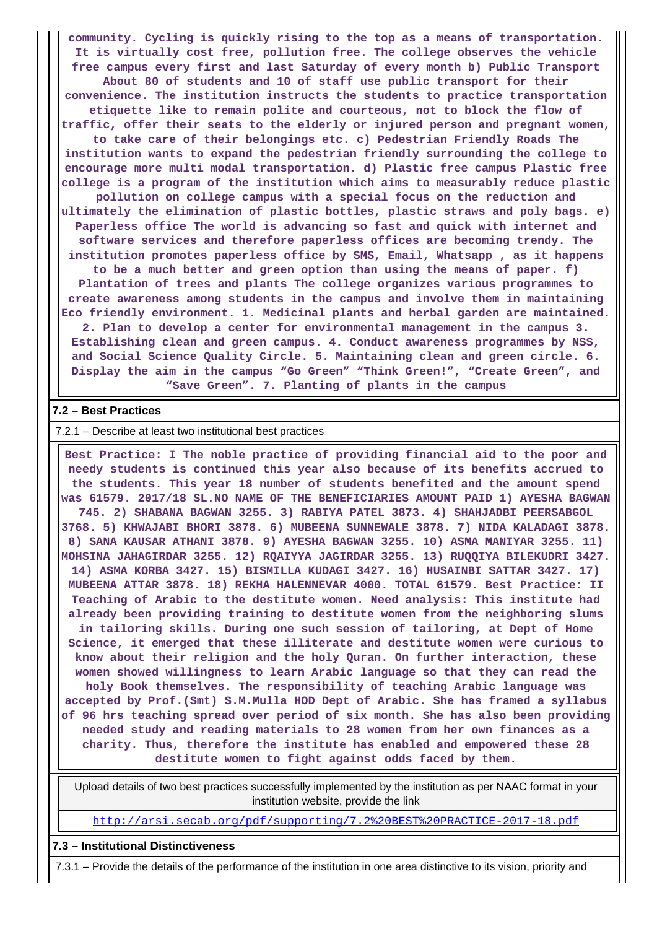**community. Cycling is quickly rising to the top as a means of transportation. It is virtually cost free, pollution free. The college observes the vehicle free campus every first and last Saturday of every month b) Public Transport About 80 of students and 10 of staff use public transport for their convenience. The institution instructs the students to practice transportation etiquette like to remain polite and courteous, not to block the flow of traffic, offer their seats to the elderly or injured person and pregnant women, to take care of their belongings etc. c) Pedestrian Friendly Roads The institution wants to expand the pedestrian friendly surrounding the college to encourage more multi modal transportation. d) Plastic free campus Plastic free college is a program of the institution which aims to measurably reduce plastic pollution on college campus with a special focus on the reduction and ultimately the elimination of plastic bottles, plastic straws and poly bags. e) Paperless office The world is advancing so fast and quick with internet and software services and therefore paperless offices are becoming trendy. The institution promotes paperless office by SMS, Email, Whatsapp , as it happens to be a much better and green option than using the means of paper. f) Plantation of trees and plants The college organizes various programmes to create awareness among students in the campus and involve them in maintaining Eco friendly environment. 1. Medicinal plants and herbal garden are maintained. 2. Plan to develop a center for environmental management in the campus 3. Establishing clean and green campus. 4. Conduct awareness programmes by NSS, and Social Science Quality Circle. 5. Maintaining clean and green circle. 6. Display the aim in the campus "Go Green" "Think Green!", "Create Green", and "Save Green". 7. Planting of plants in the campus**

#### **7.2 – Best Practices**

#### 7.2.1 – Describe at least two institutional best practices

 **Best Practice: I The noble practice of providing financial aid to the poor and needy students is continued this year also because of its benefits accrued to the students. This year 18 number of students benefited and the amount spend was 61579. 2017/18 SL.NO NAME OF THE BENEFICIARIES AMOUNT PAID 1) AYESHA BAGWAN 745. 2) SHABANA BAGWAN 3255. 3) RABIYA PATEL 3873. 4) SHAHJADBI PEERSABGOL 3768. 5) KHWAJABI BHORI 3878. 6) MUBEENA SUNNEWALE 3878. 7) NIDA KALADAGI 3878. 8) SANA KAUSAR ATHANI 3878. 9) AYESHA BAGWAN 3255. 10) ASMA MANIYAR 3255. 11) MOHSINA JAHAGIRDAR 3255. 12) RQAIYYA JAGIRDAR 3255. 13) RUQQIYA BILEKUDRI 3427. 14) ASMA KORBA 3427. 15) BISMILLA KUDAGI 3427. 16) HUSAINBI SATTAR 3427. 17) MUBEENA ATTAR 3878. 18) REKHA HALENNEVAR 4000. TOTAL 61579. Best Practice: II Teaching of Arabic to the destitute women. Need analysis: This institute had already been providing training to destitute women from the neighboring slums in tailoring skills. During one such session of tailoring, at Dept of Home Science, it emerged that these illiterate and destitute women were curious to know about their religion and the holy Quran. On further interaction, these women showed willingness to learn Arabic language so that they can read the holy Book themselves. The responsibility of teaching Arabic language was accepted by Prof.(Smt) S.M.Mulla HOD Dept of Arabic. She has framed a syllabus of 96 hrs teaching spread over period of six month. She has also been providing needed study and reading materials to 28 women from her own finances as a charity. Thus, therefore the institute has enabled and empowered these 28 destitute women to fight against odds faced by them.**

 Upload details of two best practices successfully implemented by the institution as per NAAC format in your institution website, provide the link

<http://arsi.secab.org/pdf/supporting/7.2%20BEST%20PRACTICE-2017-18.pdf>

#### **7.3 – Institutional Distinctiveness**

7.3.1 – Provide the details of the performance of the institution in one area distinctive to its vision, priority and